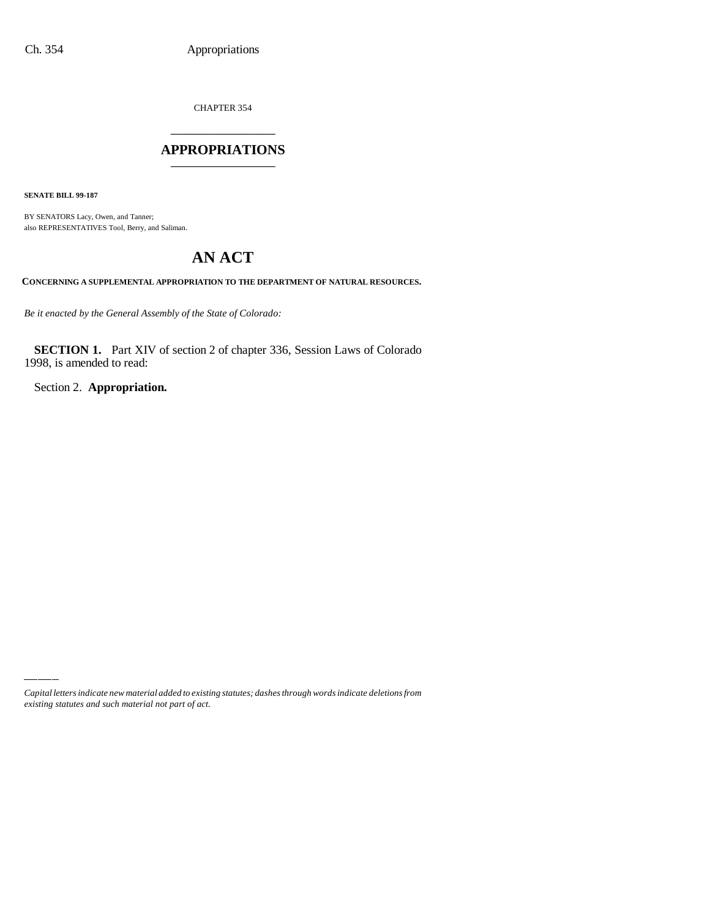CHAPTER 354

## \_\_\_\_\_\_\_\_\_\_\_\_\_\_\_ **APPROPRIATIONS** \_\_\_\_\_\_\_\_\_\_\_\_\_\_\_

**SENATE BILL 99-187**

BY SENATORS Lacy, Owen, and Tanner; also REPRESENTATIVES Tool, Berry, and Saliman.

# **AN ACT**

**CONCERNING A SUPPLEMENTAL APPROPRIATION TO THE DEPARTMENT OF NATURAL RESOURCES.**

*Be it enacted by the General Assembly of the State of Colorado:*

**SECTION 1.** Part XIV of section 2 of chapter 336, Session Laws of Colorado 1998, is amended to read:

Section 2. **Appropriation.**

*Capital letters indicate new material added to existing statutes; dashes through words indicate deletions from existing statutes and such material not part of act.*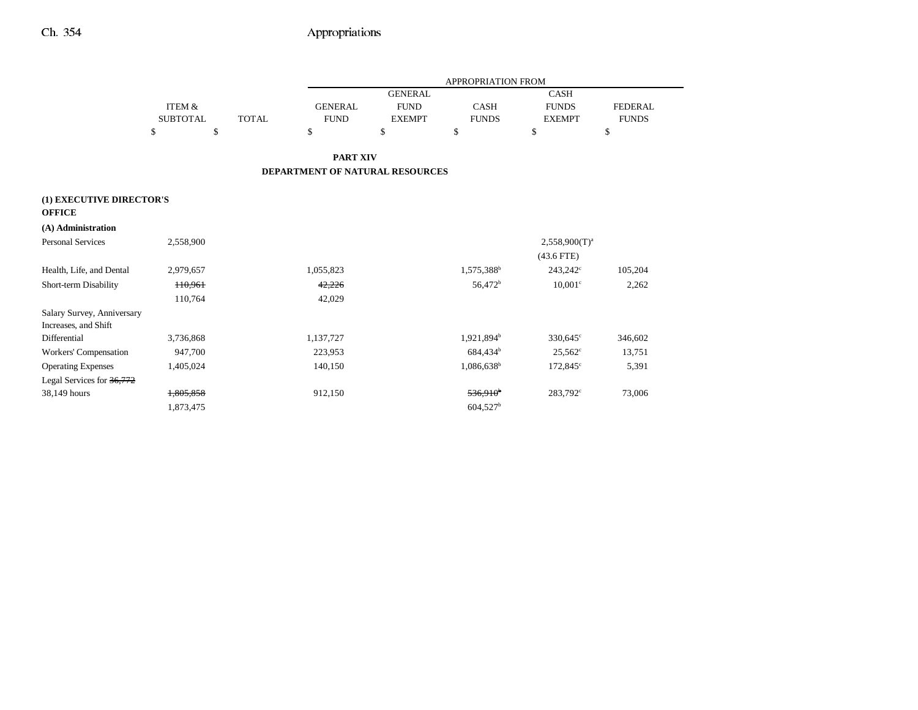|                                           |                   |              |                                 |                | APPROPRIATION FROM     |                      |                |
|-------------------------------------------|-------------------|--------------|---------------------------------|----------------|------------------------|----------------------|----------------|
|                                           |                   |              |                                 | <b>GENERAL</b> |                        | <b>CASH</b>          |                |
|                                           | <b>ITEM &amp;</b> |              | <b>GENERAL</b>                  | <b>FUND</b>    | <b>CASH</b>            | <b>FUNDS</b>         | <b>FEDERAL</b> |
|                                           | <b>SUBTOTAL</b>   | <b>TOTAL</b> | <b>FUND</b>                     | <b>EXEMPT</b>  | <b>FUNDS</b>           | <b>EXEMPT</b>        | <b>FUNDS</b>   |
|                                           | \$<br>\$          |              | \$                              | \$             | \$                     | \$                   | \$             |
|                                           |                   |              | <b>PART XIV</b>                 |                |                        |                      |                |
|                                           |                   |              | DEPARTMENT OF NATURAL RESOURCES |                |                        |                      |                |
| (1) EXECUTIVE DIRECTOR'S<br><b>OFFICE</b> |                   |              |                                 |                |                        |                      |                |
| (A) Administration                        |                   |              |                                 |                |                        |                      |                |
| <b>Personal Services</b>                  | 2,558,900         |              |                                 |                |                        | $2,558,900(T)^{a}$   |                |
|                                           |                   |              |                                 |                |                        | $(43.6$ FTE)         |                |
| Health, Life, and Dental                  | 2,979,657         |              | 1,055,823                       |                | 1,575,388 <sup>b</sup> | $243,242^{\circ}$    | 105,204        |
| Short-term Disability                     | H0,961            |              | 42,226                          |                | 56,472 <sup>b</sup>    | $10,001$ c           | 2,262          |
|                                           | 110,764           |              | 42,029                          |                |                        |                      |                |
| Salary Survey, Anniversary                |                   |              |                                 |                |                        |                      |                |
| Increases, and Shift                      |                   |              |                                 |                |                        |                      |                |
| Differential                              | 3,736,868         |              | 1,137,727                       |                | 1,921,894 <sup>b</sup> | $330,645^{\circ}$    | 346,602        |
| Workers' Compensation                     | 947,700           |              | 223,953                         |                | 684,434 <sup>b</sup>   | $25,562^{\circ}$     | 13,751         |
| <b>Operating Expenses</b>                 | 1,405,024         |              | 140,150                         |                | $1,086,638^b$          | $172,845^{\circ}$    | 5,391          |
| Legal Services for 36,772                 |                   |              |                                 |                |                        |                      |                |
| 38,149 hours                              | 1,805,858         |              | 912,150                         |                | 536,910 <sup>b</sup>   | 283,792 <sup>c</sup> | 73,006         |
|                                           | 1,873,475         |              |                                 |                | 604,527 <sup>b</sup>   |                      |                |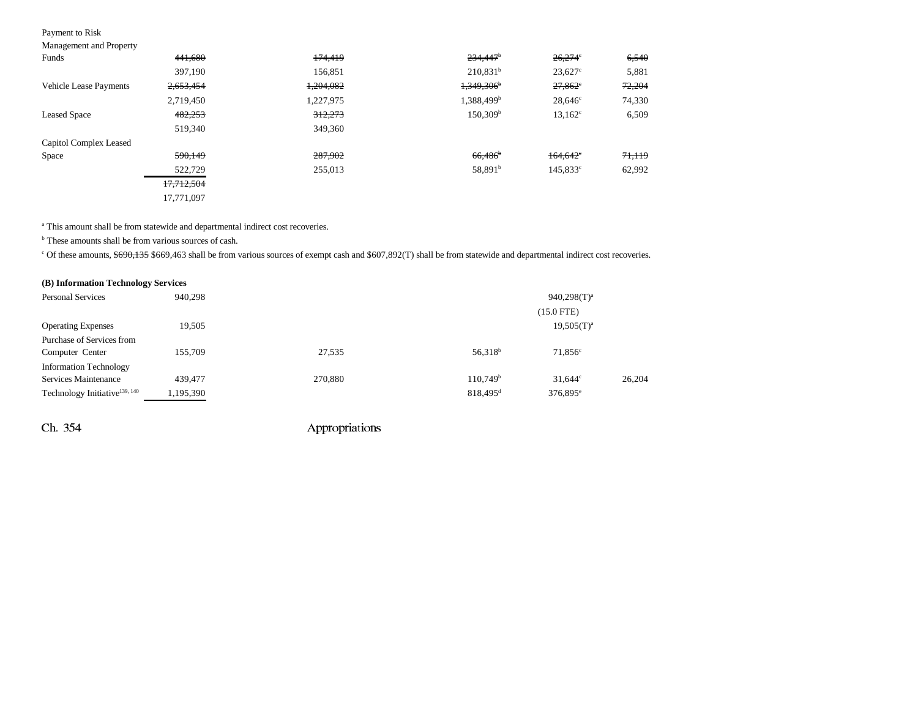### Payment to Risk

| <b>Management and Property</b> |  |  |
|--------------------------------|--|--|
|                                |  |  |

| $\sim$                        |            |           |                          |                        |        |
|-------------------------------|------------|-----------|--------------------------|------------------------|--------|
| Funds                         | 441,680    | 174,419   | $234,447$ <sup>b</sup>   | $26,274$ °             | 6,540  |
|                               | 397,190    | 156,851   | $210,831^b$              | $23.627^{\circ}$       | 5,881  |
| <b>Vehicle Lease Payments</b> | 2,653,454  | 1,204,082 | $1,349,306$ <sup>b</sup> | $27,862$ <sup>c</sup>  | 72,204 |
|                               | 2,719,450  | 1,227,975 | 1,388,499 <sup>b</sup>   | $28,646^{\circ}$       | 74,330 |
| <b>Leased Space</b>           | 482,253    | 312,273   | 150.309 <sup>b</sup>     | $13,162^{\circ}$       | 6,509  |
|                               | 519,340    | 349,360   |                          |                        |        |
| Capitol Complex Leased        |            |           |                          |                        |        |
| Space                         | 590,149    | 287,902   | $66,486$ <sup>b</sup>    | $164.642$ <sup>c</sup> | 71,119 |
|                               | 522,729    | 255,013   | 58,891 <sup>b</sup>      | 145.833c               | 62,992 |
|                               | 17,712,504 |           |                          |                        |        |
|                               | 17,771,097 |           |                          |                        |        |

<sup>a</sup> This amount shall be from statewide and departmental indirect cost recoveries.

b These amounts shall be from various sources of cash.

<sup>c</sup> Of these amounts, \$690,135 \$669,463 shall be from various sources of exempt cash and \$607,892(T) shall be from statewide and departmental indirect cost recoveries.

| (B) Information Technology Services       |           |         |                        |                   |        |
|-------------------------------------------|-----------|---------|------------------------|-------------------|--------|
| <b>Personal Services</b>                  | 940,298   |         |                        | $940,298(T)^a$    |        |
|                                           |           |         |                        | $(15.0$ FTE)      |        |
| <b>Operating Expenses</b>                 | 19,505    |         |                        | $19,505(T)^{a}$   |        |
| Purchase of Services from                 |           |         |                        |                   |        |
| Computer Center                           | 155,709   | 27,535  | 56,318 <sup>b</sup>    | $71,856^{\circ}$  |        |
| <b>Information Technology</b>             |           |         |                        |                   |        |
| Services Maintenance                      | 439,477   | 270,880 | 110.749 <sup>b</sup>   | $31.644^{\circ}$  | 26,204 |
| Technology Initiative <sup>139, 140</sup> | 1,195,390 |         | $818,495$ <sup>d</sup> | $376,895^{\circ}$ |        |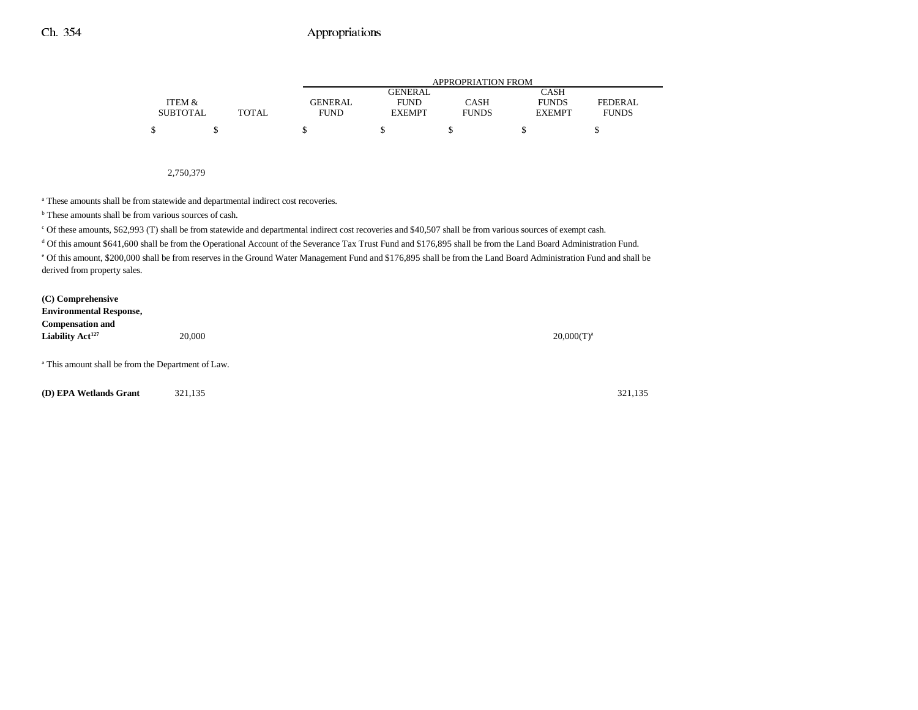|                 |              | <b>APPROPRIATION FROM</b> |               |              |               |              |  |
|-----------------|--------------|---------------------------|---------------|--------------|---------------|--------------|--|
|                 |              |                           | GENERAL       |              | CASH          |              |  |
| ITEM &          |              | <b>GENERAL</b>            | <b>FUND</b>   | CASH         | <b>FUNDS</b>  | FEDERAL      |  |
| <b>SUBTOTAL</b> | <b>TOTAL</b> | FUND                      | <b>EXEMPT</b> | <b>FUNDS</b> | <b>EXEMPT</b> | <b>FUNDS</b> |  |
| \$              |              |                           |               |              |               |              |  |

2,750,379

<sup>a</sup> These amounts shall be from statewide and departmental indirect cost recoveries.

<sup>b</sup> These amounts shall be from various sources of cash.

c Of these amounts, \$62,993 (T) shall be from statewide and departmental indirect cost recoveries and \$40,507 shall be from various sources of exempt cash.

<sup>d</sup> Of this amount \$641,600 shall be from the Operational Account of the Severance Tax Trust Fund and \$176,895 shall be from the Land Board Administration Fund.

e Of this amount, \$200,000 shall be from reserves in the Ground Water Management Fund and \$176,895 shall be from the Land Board Administration Fund and shall be derived from property sales.

| (C) Comprehensive<br><b>Environmental Response,</b>           |        |                 |
|---------------------------------------------------------------|--------|-----------------|
| <b>Compensation and</b>                                       |        |                 |
| Liability Act <sup>127</sup>                                  | 20,000 | $20,000(T)^{a}$ |
|                                                               |        |                 |
| <sup>a</sup> This amount shall be from the Department of Law. |        |                 |

**(D) EPA Wetlands Grant** 321,135 321,135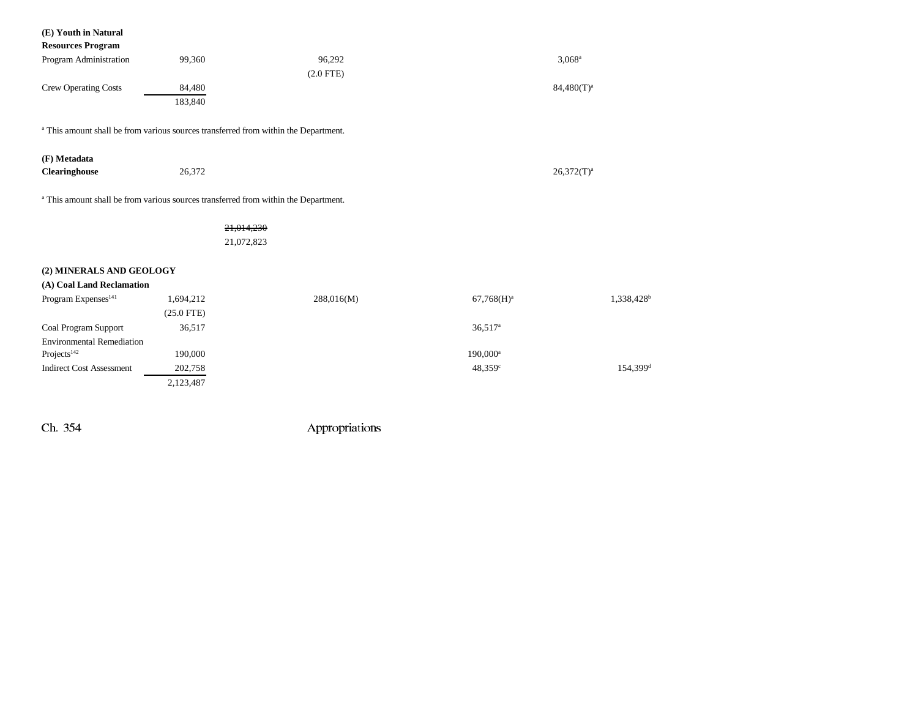| (E) Youth in Natural<br><b>Resources Program</b>                                               |              |             |                       |                        |
|------------------------------------------------------------------------------------------------|--------------|-------------|-----------------------|------------------------|
| Program Administration                                                                         | 99,360       | 96,292      |                       | $3,068^a$              |
|                                                                                                |              | $(2.0$ FTE) |                       |                        |
|                                                                                                |              |             |                       |                        |
| <b>Crew Operating Costs</b>                                                                    | 84,480       |             |                       | $84,480(T)^a$          |
|                                                                                                | 183,840      |             |                       |                        |
| <sup>a</sup> This amount shall be from various sources transferred from within the Department. |              |             |                       |                        |
| (F) Metadata                                                                                   |              |             |                       |                        |
| Clearinghouse                                                                                  | 26,372       |             |                       | $26,372(T)^a$          |
| <sup>a</sup> This amount shall be from various sources transferred from within the Department. |              |             |                       |                        |
|                                                                                                | 21,014,230   |             |                       |                        |
|                                                                                                | 21,072,823   |             |                       |                        |
| (2) MINERALS AND GEOLOGY                                                                       |              |             |                       |                        |
| (A) Coal Land Reclamation                                                                      |              |             |                       |                        |
| Program Expenses <sup>141</sup>                                                                | 1,694,212    | 288,016(M)  | $67,768(H)^a$         | 1,338,428 <sup>b</sup> |
|                                                                                                | $(25.0$ FTE) |             |                       |                        |
| Coal Program Support                                                                           | 36,517       |             | $36,517$ <sup>a</sup> |                        |
| <b>Environmental Remediation</b>                                                               |              |             |                       |                        |
| Projects <sup>142</sup>                                                                        | 190,000      |             | $190,000^a$           |                        |
| <b>Indirect Cost Assessment</b>                                                                | 202,758      |             | 48,359 <sup>c</sup>   | 154,399 <sup>d</sup>   |
|                                                                                                | 2,123,487    |             |                       |                        |
|                                                                                                |              |             |                       |                        |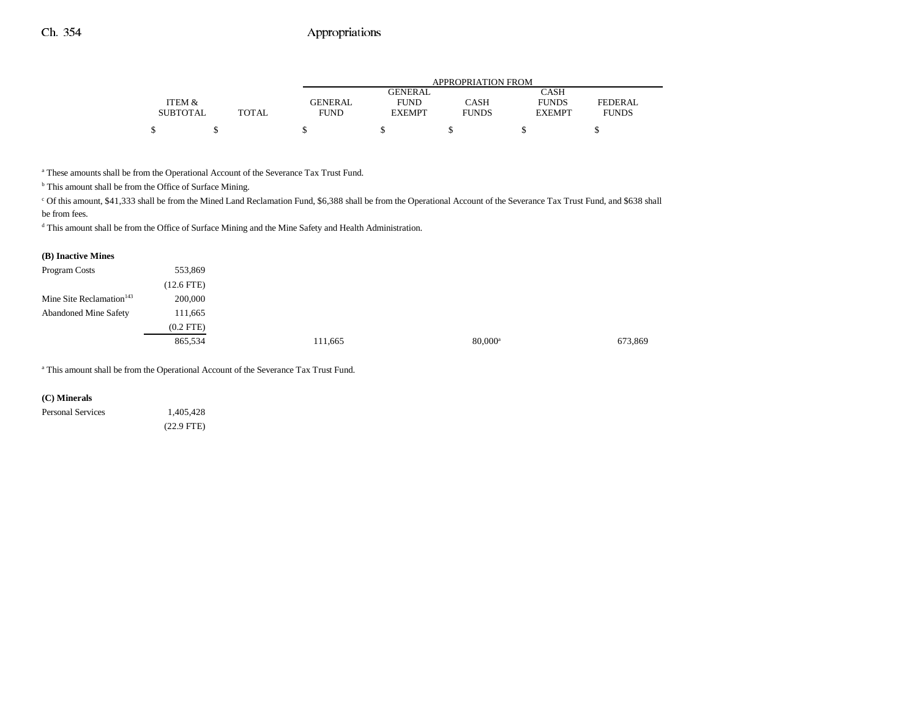|                 |       | APPROPRIATION FROM |               |              |               |                |  |  |
|-----------------|-------|--------------------|---------------|--------------|---------------|----------------|--|--|
|                 |       |                    | GENERAL.      |              | CASH          |                |  |  |
| ITEM &          |       | <b>GENERAL</b>     | <b>FUND</b>   | CASH         | <b>FUNDS</b>  | <b>FEDERAL</b> |  |  |
| <b>SUBTOTAL</b> | TOTAL | <b>FUND</b>        | <b>EXEMPT</b> | <b>FUNDS</b> | <b>EXEMPT</b> | <b>FUNDS</b>   |  |  |
|                 |       |                    |               |              |               |                |  |  |

a These amounts shall be from the Operational Account of the Severance Tax Trust Fund.

 $^{\rm b}$  This amount shall be from the Office of Surface Mining.

c Of this amount, \$41,333 shall be from the Mined Land Reclamation Fund, \$6,388 shall be from the Operational Account of the Severance Tax Trust Fund, and \$638 shall be from fees.

d This amount shall be from the Office of Surface Mining and the Mine Safety and Health Administration.

| (B) Inactive Mines                   |                |         |                  |         |
|--------------------------------------|----------------|---------|------------------|---------|
| Program Costs                        | 553,869        |         |                  |         |
|                                      | $(12.6$ FTE)   |         |                  |         |
| Mine Site Reclamation <sup>143</sup> | 200,000        |         |                  |         |
| <b>Abandoned Mine Safety</b>         | 111,665        |         |                  |         |
|                                      | $(0.2$ FTE $)$ |         |                  |         |
|                                      | 865,534        | 111,665 | $80,000^{\rm a}$ | 673,869 |

a This amount shall be from the Operational Account of the Severance Tax Trust Fund.

#### **(C) Minerals**

Personal Services 1,405,428 (22.9 FTE)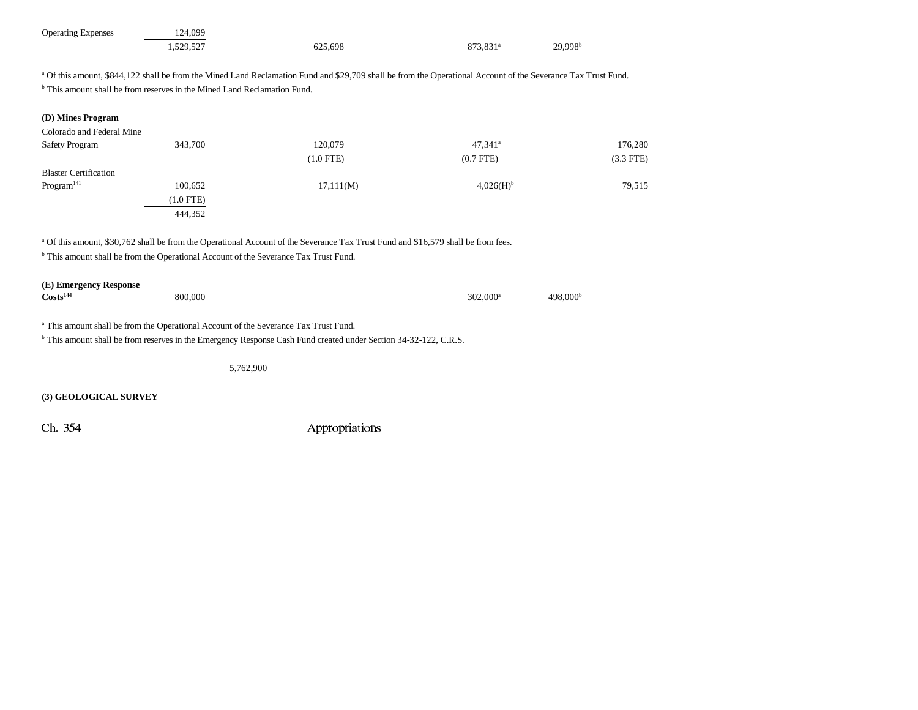| <b>Operating Expenses</b> | 124,099   |         |                      |                     |
|---------------------------|-----------|---------|----------------------|---------------------|
|                           | 1,529,527 | 625,698 | 873.831 <sup>a</sup> | 29,998 <sup>b</sup> |

<sup>a</sup> Of this amount, \$844,122 shall be from the Mined Land Reclamation Fund and \$29,709 shall be from the Operational Account of the Severance Tax Trust Fund. <sup>b</sup> This amount shall be from reserves in the Mined Land Reclamation Fund.

| (D) Mines Program                                                                                                                                 |             |                                                                                                                                              |                       |                      |
|---------------------------------------------------------------------------------------------------------------------------------------------------|-------------|----------------------------------------------------------------------------------------------------------------------------------------------|-----------------------|----------------------|
| Colorado and Federal Mine                                                                                                                         |             |                                                                                                                                              |                       |                      |
| Safety Program                                                                                                                                    | 343,700     | 120,079                                                                                                                                      | $47,341$ <sup>a</sup> | 176,280              |
|                                                                                                                                                   |             | $(1.0$ FTE)                                                                                                                                  | $(0.7$ FTE $)$        | $(3.3$ FTE)          |
| <b>Blaster Certification</b>                                                                                                                      |             |                                                                                                                                              |                       |                      |
| Program <sup>141</sup>                                                                                                                            | 100,652     | 17,111(M)                                                                                                                                    | 4,026(H) <sup>b</sup> | 79,515               |
|                                                                                                                                                   | $(1.0$ FTE) |                                                                                                                                              |                       |                      |
|                                                                                                                                                   | 444,352     |                                                                                                                                              |                       |                      |
| <sup>b</sup> This amount shall be from the Operational Account of the Severance Tax Trust Fund.<br>(E) Emergency Response<br>Costs <sup>144</sup> |             | <sup>a</sup> Of this amount, \$30,762 shall be from the Operational Account of the Severance Tax Trust Fund and \$16,579 shall be from fees. |                       |                      |
|                                                                                                                                                   | 800,000     |                                                                                                                                              | $302,000^{\rm a}$     | 498,000 <sup>b</sup> |
| <sup>a</sup> This amount shall be from the Operational Account of the Severance Tax Trust Fund.                                                   |             | <sup>b</sup> This amount shall be from reserves in the Emergency Response Cash Fund created under Section 34-32-122, C.R.S.                  |                       |                      |
|                                                                                                                                                   | 5,762,900   |                                                                                                                                              |                       |                      |
| (3) GEOLOGICAL SURVEY                                                                                                                             |             |                                                                                                                                              |                       |                      |
| Ch. 354                                                                                                                                           |             | Appropriations                                                                                                                               |                       |                      |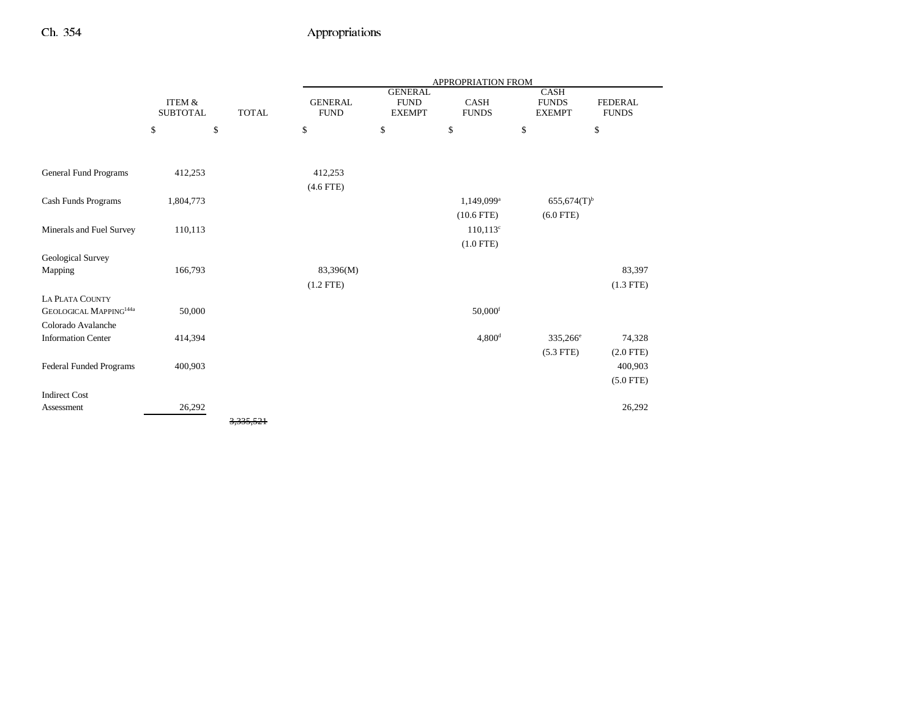|                                    |                                      |              |                               |                                                | APPROPRIATION FROM          |                                              |                                |
|------------------------------------|--------------------------------------|--------------|-------------------------------|------------------------------------------------|-----------------------------|----------------------------------------------|--------------------------------|
|                                    | <b>ITEM &amp;</b><br><b>SUBTOTAL</b> | <b>TOTAL</b> | <b>GENERAL</b><br><b>FUND</b> | <b>GENERAL</b><br><b>FUND</b><br><b>EXEMPT</b> | <b>CASH</b><br><b>FUNDS</b> | <b>CASH</b><br><b>FUNDS</b><br><b>EXEMPT</b> | <b>FEDERAL</b><br><b>FUNDS</b> |
|                                    | \$                                   | \$           | \$                            | \$                                             | \$                          | \$                                           | \$                             |
|                                    |                                      |              |                               |                                                |                             |                                              |                                |
| General Fund Programs              | 412,253                              |              | 412,253                       |                                                |                             |                                              |                                |
|                                    |                                      |              | $(4.6$ FTE)                   |                                                |                             |                                              |                                |
| Cash Funds Programs                | 1,804,773                            |              |                               |                                                | 1,149,099 <sup>a</sup>      | $655,674(T)$ <sup>b</sup>                    |                                |
|                                    |                                      |              |                               |                                                | $(10.6$ FTE)                | $(6.0$ FTE)                                  |                                |
| Minerals and Fuel Survey           | 110,113                              |              |                               |                                                | $110,113^{\circ}$           |                                              |                                |
|                                    |                                      |              |                               |                                                | $(1.0$ FTE)                 |                                              |                                |
| Geological Survey                  |                                      |              |                               |                                                |                             |                                              |                                |
| Mapping                            | 166,793                              |              | 83,396(M)                     |                                                |                             |                                              | 83,397                         |
|                                    |                                      |              | $(1.2$ FTE)                   |                                                |                             |                                              | $(1.3$ FTE)                    |
| <b>LA PLATA COUNTY</b>             |                                      |              |                               |                                                |                             |                                              |                                |
| GEOLOGICAL MAPPING <sup>144a</sup> | 50,000                               |              |                               |                                                | $50,000$ <sup>f</sup>       |                                              |                                |
| Colorado Avalanche                 |                                      |              |                               |                                                |                             |                                              |                                |
| <b>Information Center</b>          | 414,394                              |              |                               |                                                | $4,800$ <sup>d</sup>        | 335,266 <sup>e</sup>                         | 74,328                         |
|                                    |                                      |              |                               |                                                |                             | $(5.3$ FTE)                                  | $(2.0$ FTE)                    |
| Federal Funded Programs            | 400,903                              |              |                               |                                                |                             |                                              | 400,903                        |
|                                    |                                      |              |                               |                                                |                             |                                              | $(5.0$ FTE)                    |
| <b>Indirect Cost</b>               |                                      |              |                               |                                                |                             |                                              |                                |
| Assessment                         | 26,292                               |              |                               |                                                |                             |                                              | 26,292                         |
|                                    |                                      | 3,335,521    |                               |                                                |                             |                                              |                                |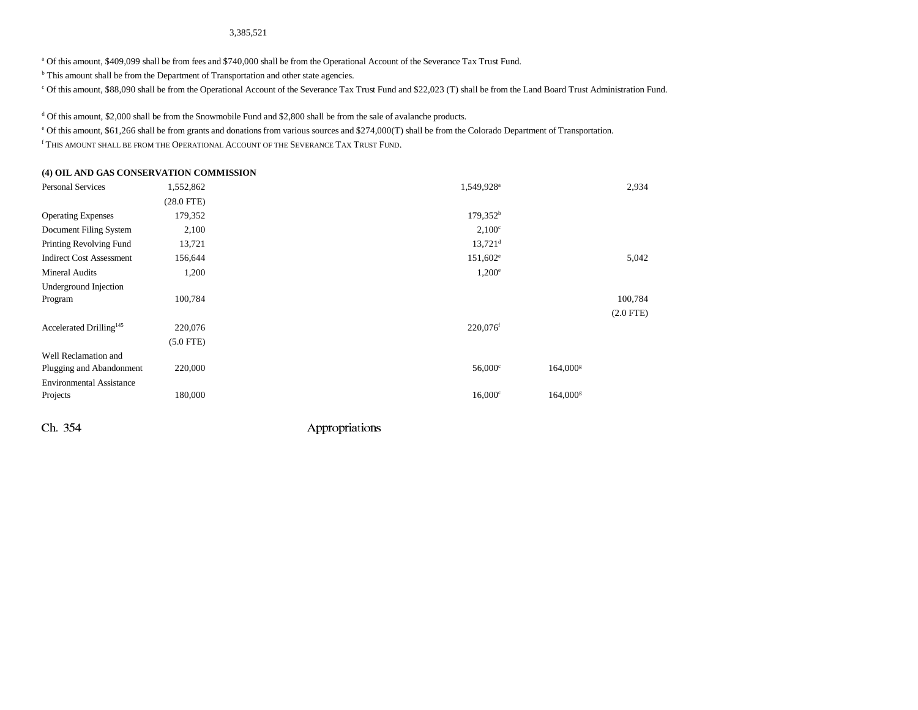3,385,521

a Of this amount, \$409,099 shall be from fees and \$740,000 shall be from the Operational Account of the Severance Tax Trust Fund.

<sup>b</sup> This amount shall be from the Department of Transportation and other state agencies.

c Of this amount, \$88,090 shall be from the Operational Account of the Severance Tax Trust Fund and \$22,023 (T) shall be from the Land Board Trust Administration Fund.

<sup>d</sup> Of this amount, \$2,000 shall be from the Snowmobile Fund and \$2,800 shall be from the sale of avalanche products.

e Of this amount, \$61,266 shall be from grants and donations from various sources and \$274,000(T) shall be from the Colorado Department of Transportation.

f This amount shall be from the Operational Account of the Severance Tax Trust Fund.

#### **(4) OIL AND GAS CONSERVATION COMMISSION**

| <b>Personal Services</b>            | 1,552,862       | 1,549,928 <sup>a</sup> | 2,934                  |
|-------------------------------------|-----------------|------------------------|------------------------|
|                                     | $(28.0$ FTE $)$ |                        |                        |
| <b>Operating Expenses</b>           | 179,352         | $179,352^b$            |                        |
| Document Filing System              | 2,100           | $2,100^{\circ}$        |                        |
| Printing Revolving Fund             | 13,721          | $13,721$ <sup>d</sup>  |                        |
| <b>Indirect Cost Assessment</b>     | 156,644         | $151,602^e$            | 5,042                  |
| Mineral Audits                      | 1,200           | $1,200^e$              |                        |
| Underground Injection               |                 |                        |                        |
| Program                             | 100,784         |                        | 100,784                |
|                                     |                 |                        | $(2.0$ FTE)            |
| Accelerated Drilling <sup>145</sup> | 220,076         | 220,076 <sup>f</sup>   |                        |
|                                     | $(5.0$ FTE $)$  |                        |                        |
| Well Reclamation and                |                 |                        |                        |
| Plugging and Abandonment            | 220,000         | $56,000^{\circ}$       | $164,000$ <sup>s</sup> |
| <b>Environmental Assistance</b>     |                 |                        |                        |
| Projects                            | 180,000         | $16,000$ c             | $164,000$ <sup>s</sup> |
|                                     |                 |                        |                        |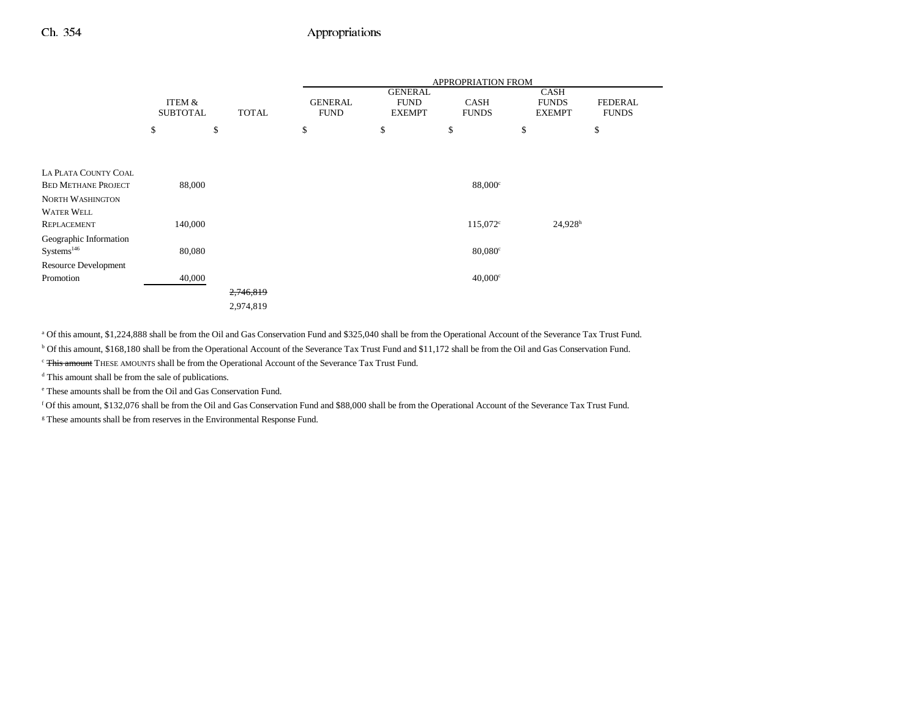|                             |                           |              | APPROPRIATION FROM            |                              |                             |                               |                                |
|-----------------------------|---------------------------|--------------|-------------------------------|------------------------------|-----------------------------|-------------------------------|--------------------------------|
|                             |                           |              |                               | <b>GENERAL</b>               |                             | <b>CASH</b>                   |                                |
|                             | ITEM &<br><b>SUBTOTAL</b> | <b>TOTAL</b> | <b>GENERAL</b><br><b>FUND</b> | <b>FUND</b><br><b>EXEMPT</b> | <b>CASH</b><br><b>FUNDS</b> | <b>FUNDS</b><br><b>EXEMPT</b> | <b>FEDERAL</b><br><b>FUNDS</b> |
|                             |                           |              |                               |                              |                             |                               |                                |
|                             | \$                        | \$           | \$                            | \$                           | \$                          | \$                            | \$                             |
|                             |                           |              |                               |                              |                             |                               |                                |
|                             |                           |              |                               |                              |                             |                               |                                |
| LA PLATA COUNTY COAL        |                           |              |                               |                              |                             |                               |                                |
| <b>BED METHANE PROJECT</b>  | 88,000                    |              |                               |                              | $88,000^\circ$              |                               |                                |
| <b>NORTH WASHINGTON</b>     |                           |              |                               |                              |                             |                               |                                |
| <b>WATER WELL</b>           |                           |              |                               |                              |                             |                               |                                |
| <b>REPLACEMENT</b>          | 140,000                   |              |                               |                              | $115,072^{\circ}$           | $24,928$ <sup>h</sup>         |                                |
| Geographic Information      |                           |              |                               |                              |                             |                               |                                |
| Systems <sup>146</sup>      | 80,080                    |              |                               |                              | $80,080^\circ$              |                               |                                |
| <b>Resource Development</b> |                           |              |                               |                              |                             |                               |                                |
| Promotion                   | 40,000                    |              |                               |                              | $40,000^\circ$              |                               |                                |
|                             |                           | 2,746,819    |                               |                              |                             |                               |                                |
|                             |                           | 2,974,819    |                               |                              |                             |                               |                                |

a Of this amount, \$1,224,888 shall be from the Oil and Gas Conservation Fund and \$325,040 shall be from the Operational Account of the Severance Tax Trust Fund.

b Of this amount, \$168,180 shall be from the Operational Account of the Severance Tax Trust Fund and \$11,172 shall be from the Oil and Gas Conservation Fund.

<sup>c</sup> This amount THESE AMOUNTS shall be from the Operational Account of the Severance Tax Trust Fund.

d This amount shall be from the sale of publications.

e These amounts shall be from the Oil and Gas Conservation Fund.

f Of this amount, \$132,076 shall be from the Oil and Gas Conservation Fund and \$88,000 shall be from the Operational Account of the Severance Tax Trust Fund.

<sup>g</sup> These amounts shall be from reserves in the Environmental Response Fund.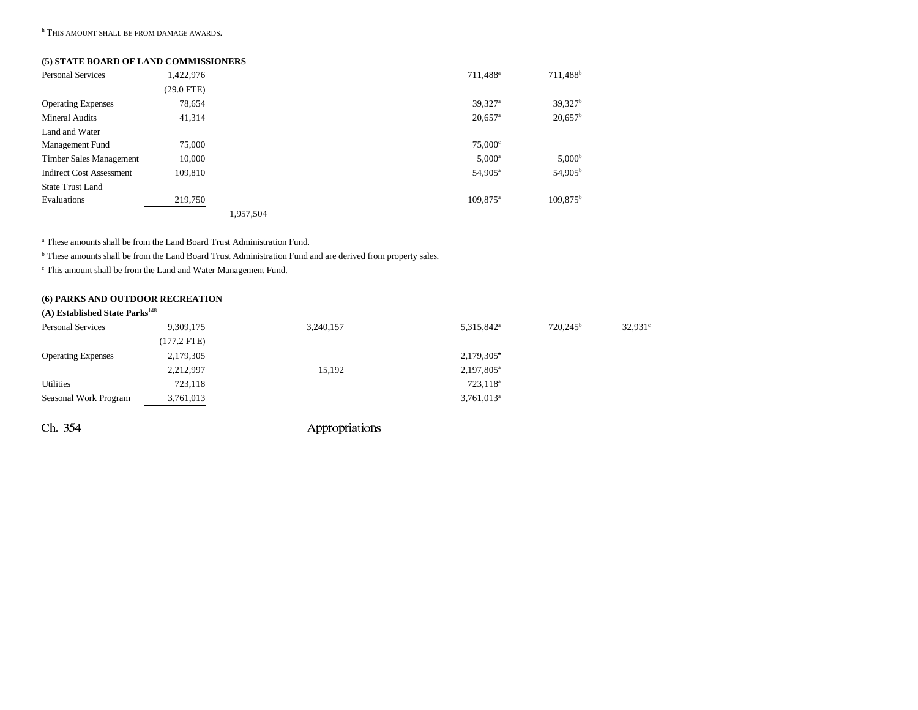h THIS AMOUNT SHALL BE FROM DAMAGE AWARDS.

#### **(5) STATE BOARD OF LAND COMMISSIONERS**

| <b>Personal Services</b>        | 1,422,976    |           | 711,488 <sup>a</sup>  | 711,488 <sup>b</sup> |
|---------------------------------|--------------|-----------|-----------------------|----------------------|
|                                 | $(29.0$ FTE) |           |                       |                      |
| <b>Operating Expenses</b>       | 78,654       |           | $39,327$ <sup>a</sup> | 39,327 <sup>b</sup>  |
| <b>Mineral Audits</b>           | 41,314       |           | $20,657$ <sup>a</sup> | $20,657^b$           |
| Land and Water                  |              |           |                       |                      |
| Management Fund                 | 75,000       |           | $75,000^{\circ}$      |                      |
| Timber Sales Management         | 10,000       |           | $5,000^{\rm a}$       | 5,000 <sup>b</sup>   |
| <b>Indirect Cost Assessment</b> | 109,810      |           | 54,905 <sup>a</sup>   | 54,905 <sup>b</sup>  |
| <b>State Trust Land</b>         |              |           |                       |                      |
| Evaluations                     | 219,750      |           | 109,875 <sup>a</sup>  | $109.875^{b}$        |
|                                 |              | 1.957.504 |                       |                      |

a These amounts shall be from the Land Board Trust Administration Fund.

b These amounts shall be from the Land Board Trust Administration Fund and are derived from property sales.

 $^\mathrm{c}$  This amount shall be from the Land and Water Management Fund.

### **(6) PARKS AND OUTDOOR RECREATION**

### **(A) Established State Parks**<sup>148</sup>

| <b>Personal Services</b>  | 9,309,175   | 3,240,157 | 5,315,842 <sup>a</sup> | $720.245^{\rm b}$ | $32,931^{\circ}$ |
|---------------------------|-------------|-----------|------------------------|-------------------|------------------|
|                           | (177.2 FTE) |           |                        |                   |                  |
| <b>Operating Expenses</b> | 2,179,305   |           | 2,179,305 <sup>*</sup> |                   |                  |
|                           | 2,212,997   | 15,192    | 2,197,805 <sup>a</sup> |                   |                  |
| <b>Utilities</b>          | 723,118     |           | 723,118 <sup>a</sup>   |                   |                  |
| Seasonal Work Program     | 3,761,013   |           | $3,761,013^a$          |                   |                  |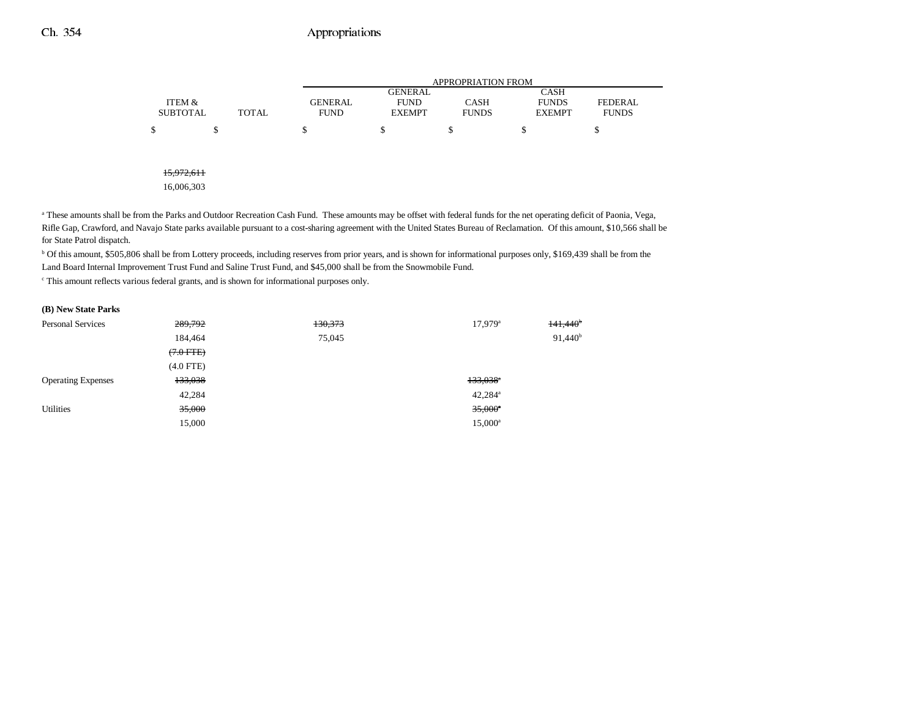|                 |              | APPROPRIATION FROM |                |              |               |                |
|-----------------|--------------|--------------------|----------------|--------------|---------------|----------------|
|                 |              |                    | <b>GENERAL</b> |              | <b>CASH</b>   |                |
| ITEM &          |              | <b>GENERAL</b>     | <b>FUND</b>    | <b>CASH</b>  | <b>FUNDS</b>  | <b>FEDERAL</b> |
| <b>SUBTOTAL</b> | <b>TOTAL</b> | <b>FUND</b>        | <b>EXEMPT</b>  | <b>FUNDS</b> | <b>EXEMPT</b> | <b>FUNDS</b>   |
|                 |              |                    |                |              | S             |                |
|                 |              |                    |                |              |               |                |

15,972,611

16,006,303

<sup>a</sup> These amounts shall be from the Parks and Outdoor Recreation Cash Fund. These amounts may be offset with federal funds for the net operating deficit of Paonia, Vega, Rifle Gap, Crawford, and Navajo State parks available pursuant to a cost-sharing agreement with the United States Bureau of Reclamation. Of this amount, \$10,566 shall be for State Patrol dispatch.

<sup>b</sup> Of this amount, \$505,806 shall be from Lottery proceeds, including reserves from prior years, and is shown for informational purposes only, \$169,439 shall be from the Land Board Internal Improvement Trust Fund and Saline Trust Fund, and \$45,000 shall be from the Snowmobile Fund.

c This amount reflects various federal grants, and is shown for informational purposes only.

| (B) New State Parks       |             |         |                        |                   |
|---------------------------|-------------|---------|------------------------|-------------------|
| <b>Personal Services</b>  | 289,792     | 130,373 | $17,979$ <sup>a</sup>  | $141,440^{\circ}$ |
|                           | 184,464     | 75,045  |                        | $91,440^{\rm b}$  |
|                           | $(7.0$ FTE) |         |                        |                   |
|                           | $(4.0$ FTE) |         |                        |                   |
| <b>Operating Expenses</b> | 133,038     |         | $133,038$ <sup>*</sup> |                   |
|                           | 42,284      |         | $42,284$ <sup>a</sup>  |                   |
| <b>Utilities</b>          | 35,000      |         | $35,000^{\circ}$       |                   |
|                           | 15,000      |         | $15,000^{\rm a}$       |                   |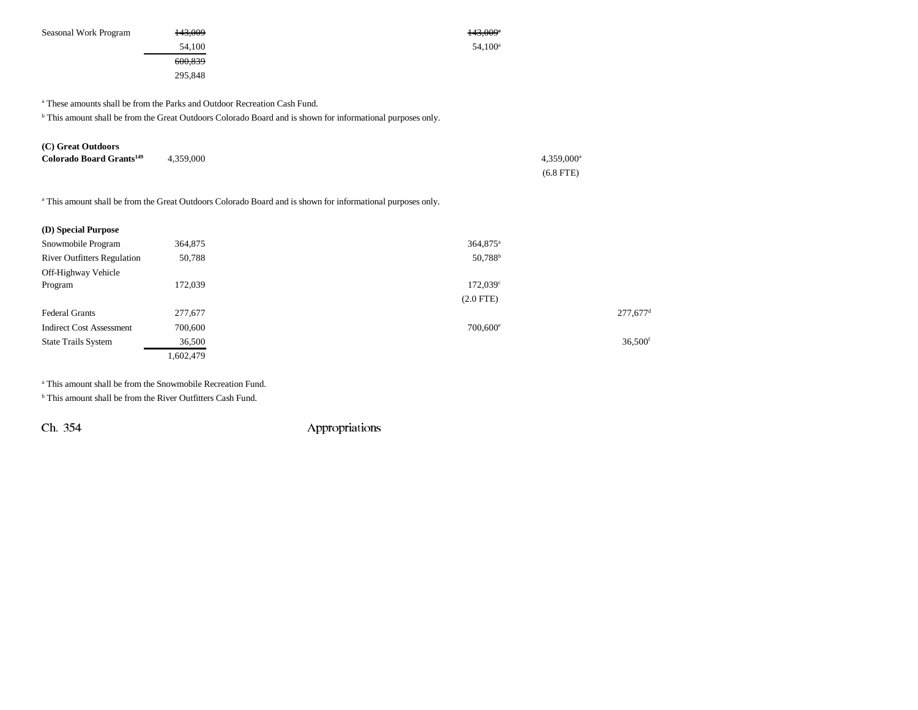Seasonal Work Program  $\frac{143,009}{2}$  $54,100$   $54,100$ 600,839 295,848 a These amounts shall be from the Parks and Outdoor Recreation Cash Fund. b This amount shall be from the Great Outdoors Colorado Board and is shown for informational purposes only.

| (C) Great Outdoors                   |           |                     |
|--------------------------------------|-----------|---------------------|
| Colorado Board Grants <sup>149</sup> | 4,359,000 | $4,359,000^{\rm a}$ |
|                                      |           | $(6.8$ FTE)         |

<sup>a</sup> This amount shall be from the Great Outdoors Colorado Board and is shown for informational purposes only.

| (D) Special Purpose                |           |                        |                        |
|------------------------------------|-----------|------------------------|------------------------|
| Snowmobile Program                 | 364,875   | $364,875$ <sup>a</sup> |                        |
| <b>River Outfitters Regulation</b> | 50,788    | 50,788 <sup>b</sup>    |                        |
| Off-Highway Vehicle                |           |                        |                        |
| Program                            | 172,039   | $172,039^{\circ}$      |                        |
|                                    |           | $(2.0$ FTE $)$         |                        |
| <b>Federal Grants</b>              | 277,677   |                        | $277,677$ <sup>d</sup> |
| <b>Indirect Cost Assessment</b>    | 700,600   | $700,600^{\circ}$      |                        |
| <b>State Trails System</b>         | 36,500    |                        | 36,500 <sup>f</sup>    |
|                                    | 1,602,479 |                        |                        |

a This amount shall be from the Snowmobile Recreation Fund.

<sup>b</sup> This amount shall be from the River Outfitters Cash Fund.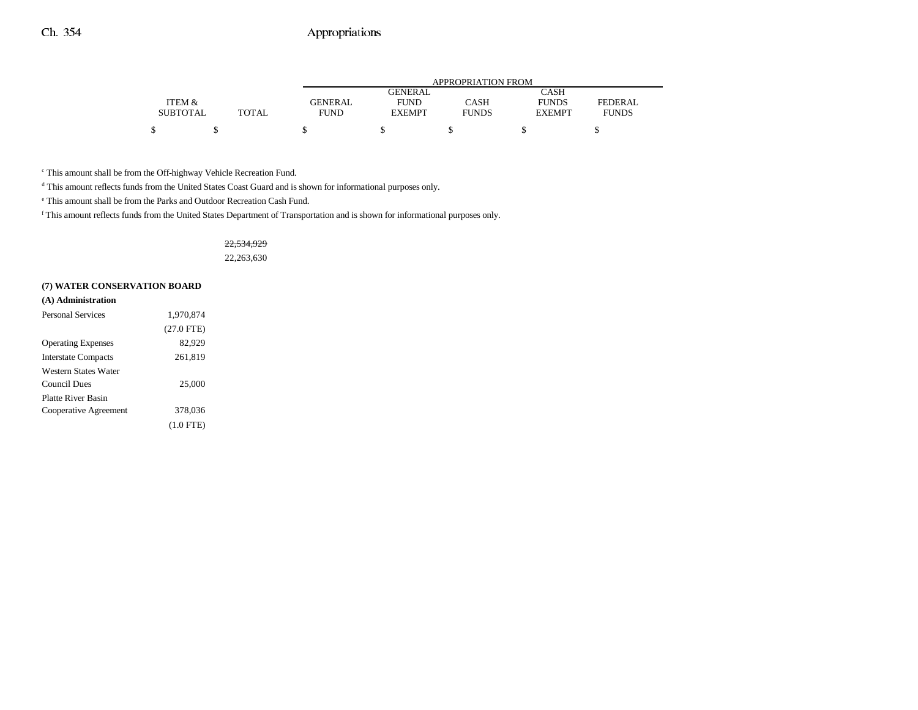|                 |              | APPROPRIATION FROM |               |              |               |              |
|-----------------|--------------|--------------------|---------------|--------------|---------------|--------------|
|                 |              |                    | GENERAL       |              | CASH          |              |
| ITEM &          |              | GENERAL            | <b>FUND</b>   | CASH         | <b>FUNDS</b>  | FEDERAL      |
| <b>SUBTOTAL</b> | <b>TOTAL</b> | <b>FUND</b>        | <b>EXEMPT</b> | <b>FUNDS</b> | <b>EXEMPT</b> | <b>FUNDS</b> |
|                 |              |                    |               |              |               |              |

c This amount shall be from the Off-highway Vehicle Recreation Fund.

d This amount reflects funds from the United States Coast Guard and is shown for informational purposes only.

e This amount shall be from the Parks and Outdoor Recreation Cash Fund.

f This amount reflects funds from the United States Department of Transportation and is shown for informational purposes only.

22,534,929 22,263,630

#### **(7) WATER CONSERVATION BOARD**

| (A) Administration        |              |
|---------------------------|--------------|
| <b>Personal Services</b>  | 1,970,874    |
|                           | $(27.0$ FTE) |
| <b>Operating Expenses</b> | 82,929       |
| Interstate Compacts       | 261,819      |
| Western States Water      |              |
| <b>Council Dues</b>       | 25,000       |
| Platte River Basin        |              |
| Cooperative Agreement     | 378,036      |
|                           | $(1.0$ FTE)  |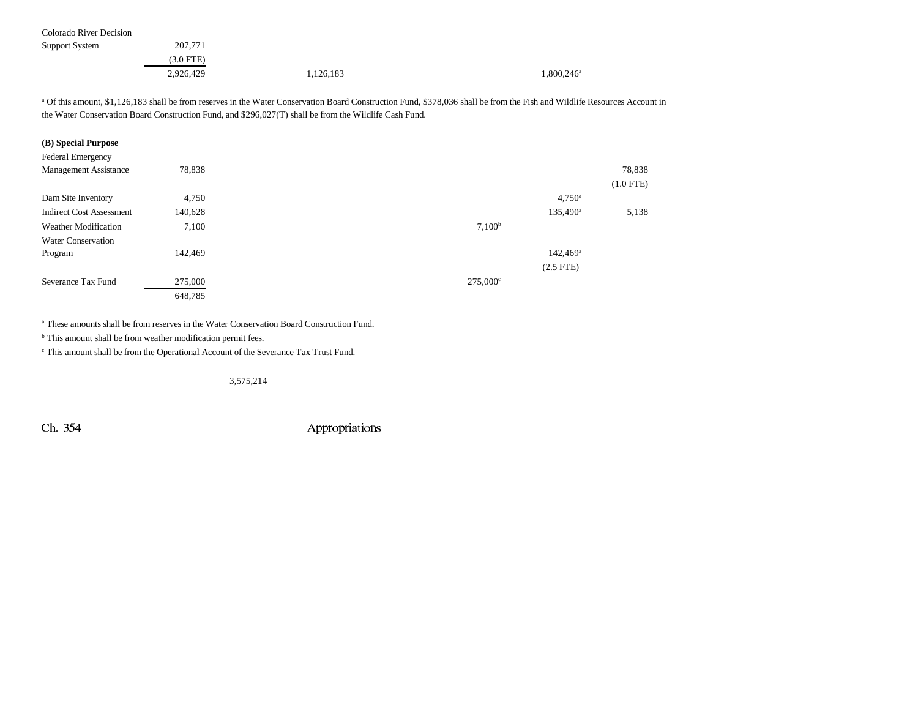Colorado River Decision

| Support System | 207,771     |           |                     |
|----------------|-------------|-----------|---------------------|
|                | $(3.0$ FTE) |           |                     |
|                | 2,926,429   | 1,126,183 | $1,800,246^{\circ}$ |

a Of this amount, \$1,126,183 shall be from reserves in the Water Conservation Board Construction Fund, \$378,036 shall be from the Fish and Wildlife Resources Account in the Water Conservation Board Construction Fund, and \$296,027(T) shall be from the Wildlife Cash Fund.

#### **(B) Special Purpose**

| <b>Federal Emergency</b>        |         |                      |             |
|---------------------------------|---------|----------------------|-------------|
| <b>Management Assistance</b>    | 78,838  |                      | 78,838      |
|                                 |         |                      | $(1.0$ FTE) |
| Dam Site Inventory              | 4,750   | $4,750^{\circ}$      |             |
| <b>Indirect Cost Assessment</b> | 140,628 | 135,490 <sup>a</sup> | 5,138       |
| <b>Weather Modification</b>     | 7,100   | 7,100 <sup>b</sup>   |             |
| <b>Water Conservation</b>       |         |                      |             |
| Program                         | 142,469 | $142,469^{\circ}$    |             |
|                                 |         | $(2.5$ FTE)          |             |
| Severance Tax Fund              | 275,000 | $275,000^{\circ}$    |             |
|                                 | 648,785 |                      |             |

a These amounts shall be from reserves in the Water Conservation Board Construction Fund.

 $<sup>b</sup>$  This amount shall be from weather modification permit fees.</sup>

c This amount shall be from the Operational Account of the Severance Tax Trust Fund.

3,575,214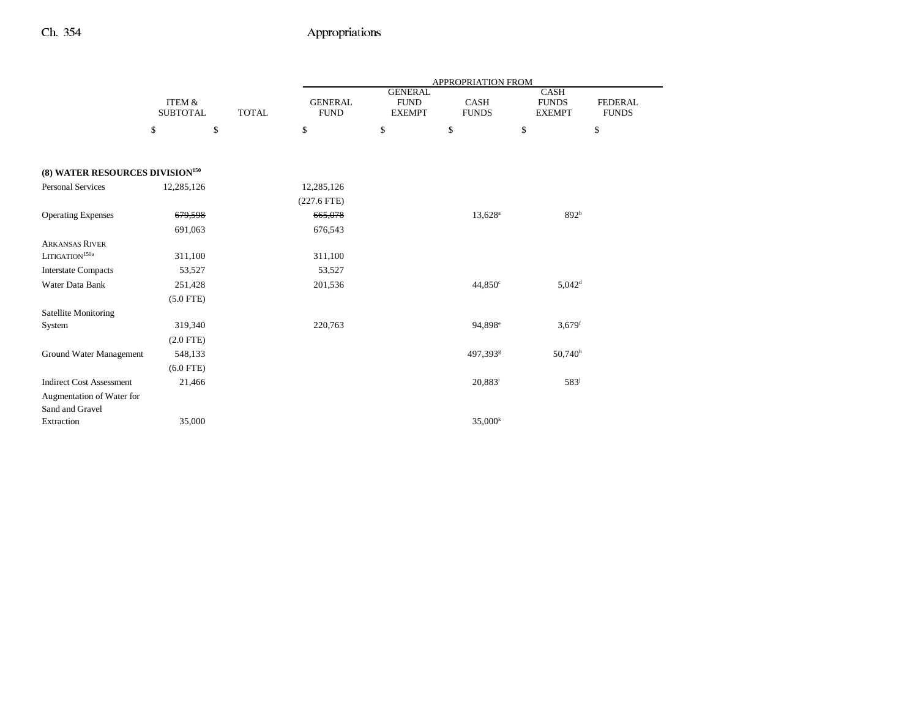|                                              |                                      |              | <b>APPROPRIATION FROM</b>     |                                                |                             |                                       |                                |  |
|----------------------------------------------|--------------------------------------|--------------|-------------------------------|------------------------------------------------|-----------------------------|---------------------------------------|--------------------------------|--|
|                                              | <b>ITEM &amp;</b><br><b>SUBTOTAL</b> | <b>TOTAL</b> | <b>GENERAL</b><br><b>FUND</b> | <b>GENERAL</b><br><b>FUND</b><br><b>EXEMPT</b> | <b>CASH</b><br><b>FUNDS</b> | CASH<br><b>FUNDS</b><br><b>EXEMPT</b> | <b>FEDERAL</b><br><b>FUNDS</b> |  |
|                                              | \$                                   | \$           | \$                            | \$                                             | \$                          | \$                                    | \$                             |  |
|                                              |                                      |              |                               |                                                |                             |                                       |                                |  |
| (8) WATER RESOURCES DIVISION <sup>150</sup>  |                                      |              |                               |                                                |                             |                                       |                                |  |
| <b>Personal Services</b>                     | 12,285,126                           |              | 12,285,126                    |                                                |                             |                                       |                                |  |
|                                              |                                      |              | $(227.6$ FTE)                 |                                                |                             |                                       |                                |  |
| <b>Operating Expenses</b>                    | 679,598                              |              | 665,078                       |                                                | $13,628^{\rm a}$            | 892 <sup>b</sup>                      |                                |  |
|                                              | 691,063                              |              | 676,543                       |                                                |                             |                                       |                                |  |
| <b>ARKANSAS RIVER</b>                        |                                      |              |                               |                                                |                             |                                       |                                |  |
| LITIGATION <sup>150a</sup>                   | 311,100                              |              | 311,100                       |                                                |                             |                                       |                                |  |
| <b>Interstate Compacts</b>                   | 53,527                               |              | 53,527                        |                                                |                             |                                       |                                |  |
| Water Data Bank                              | 251,428                              |              | 201,536                       |                                                | 44,850 <sup>c</sup>         | $5,042^d$                             |                                |  |
|                                              | $(5.0$ FTE)                          |              |                               |                                                |                             |                                       |                                |  |
| <b>Satellite Monitoring</b>                  |                                      |              |                               |                                                |                             |                                       |                                |  |
| System                                       | 319,340                              |              | 220,763                       |                                                | 94,898 <sup>e</sup>         | $3,679$ <sup>f</sup>                  |                                |  |
|                                              | $(2.0$ FTE)                          |              |                               |                                                |                             |                                       |                                |  |
| Ground Water Management                      | 548,133                              |              |                               |                                                | 497,393 <sup>g</sup>        | $50,740^{\rm h}$                      |                                |  |
|                                              | $(6.0$ FTE)                          |              |                               |                                                |                             |                                       |                                |  |
| <b>Indirect Cost Assessment</b>              | 21,466                               |              |                               |                                                | $20,883^{\rm i}$            | 583 <sup>j</sup>                      |                                |  |
| Augmentation of Water for<br>Sand and Gravel |                                      |              |                               |                                                |                             |                                       |                                |  |
| Extraction                                   | 35,000                               |              |                               |                                                | 35,000 <sup>k</sup>         |                                       |                                |  |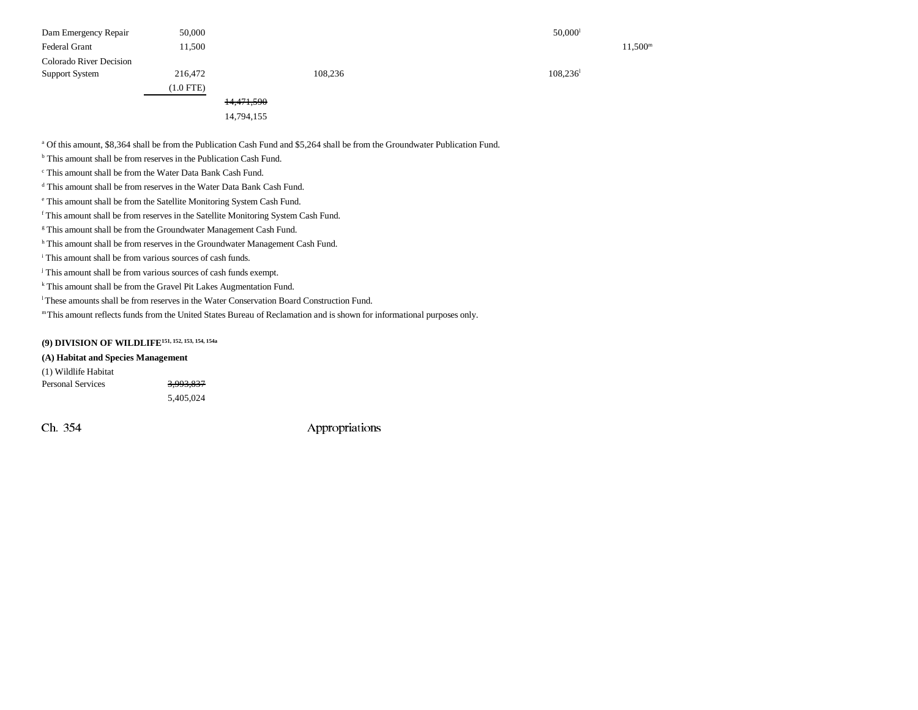| Dam Emergency Repair    | 50,000         |            |         | $50,000$ <sup>1</sup>  |                     |
|-------------------------|----------------|------------|---------|------------------------|---------------------|
| <b>Federal Grant</b>    | 11,500         |            |         |                        | 11,500 <sup>m</sup> |
| Colorado River Decision |                |            |         |                        |                     |
| Support System          | 216,472        |            | 108,236 | $108,236$ <sup>1</sup> |                     |
|                         | $(1.0$ FTE $)$ |            |         |                        |                     |
|                         |                | 14,471,590 |         |                        |                     |
|                         |                | 14,794,155 |         |                        |                     |

a Of this amount, \$8,364 shall be from the Publication Cash Fund and \$5,264 shall be from the Groundwater Publication Fund.

<sup>b</sup> This amount shall be from reserves in the Publication Cash Fund.

c This amount shall be from the Water Data Bank Cash Fund.

d This amount shall be from reserves in the Water Data Bank Cash Fund.

e This amount shall be from the Satellite Monitoring System Cash Fund.

f This amount shall be from reserves in the Satellite Monitoring System Cash Fund.

<sup>g</sup> This amount shall be from the Groundwater Management Cash Fund.

h This amount shall be from reserves in the Groundwater Management Cash Fund.

i This amount shall be from various sources of cash funds.

<sup>j</sup> This amount shall be from various sources of cash funds exempt.

k This amount shall be from the Gravel Pit Lakes Augmentation Fund.

l These amounts shall be from reserves in the Water Conservation Board Construction Fund.

m This amount reflects funds from the United States Bureau of Reclamation and is shown for informational purposes only.

## **(9) DIVISION OF WILDLIFE151, 152, 153, 154, 154a**

#### **(A) Habitat and Species Management**

(1) Wildlife Habitat Personal Services 3,993,837 5,405,024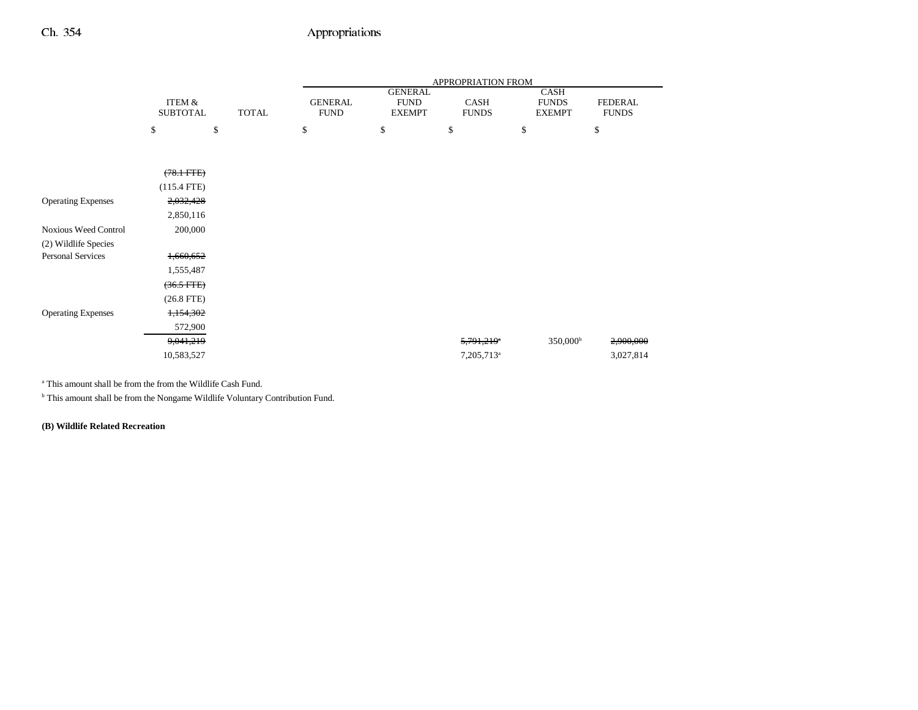|                             |                           |              | APPROPRIATION FROM            |                                                |                        |                                       |                                |
|-----------------------------|---------------------------|--------------|-------------------------------|------------------------------------------------|------------------------|---------------------------------------|--------------------------------|
|                             | ITEM &<br><b>SUBTOTAL</b> | <b>TOTAL</b> | <b>GENERAL</b><br><b>FUND</b> | <b>GENERAL</b><br><b>FUND</b><br><b>EXEMPT</b> | CASH<br><b>FUNDS</b>   | CASH<br><b>FUNDS</b><br><b>EXEMPT</b> | <b>FEDERAL</b><br><b>FUNDS</b> |
|                             | \$                        | \$           | \$                            | \$                                             | \$                     | \$                                    | \$                             |
|                             |                           |              |                               |                                                |                        |                                       |                                |
|                             |                           |              |                               |                                                |                        |                                       |                                |
|                             | $(78.1 \text{ FFE})$      |              |                               |                                                |                        |                                       |                                |
|                             | $(115.4$ FTE)             |              |                               |                                                |                        |                                       |                                |
| <b>Operating Expenses</b>   | 2,032,428                 |              |                               |                                                |                        |                                       |                                |
|                             | 2,850,116                 |              |                               |                                                |                        |                                       |                                |
| <b>Noxious Weed Control</b> | 200,000                   |              |                               |                                                |                        |                                       |                                |
| (2) Wildlife Species        |                           |              |                               |                                                |                        |                                       |                                |
| <b>Personal Services</b>    | 1,660,652                 |              |                               |                                                |                        |                                       |                                |
|                             | 1,555,487                 |              |                               |                                                |                        |                                       |                                |
|                             | $(36.5 \text{ FFE})$      |              |                               |                                                |                        |                                       |                                |
|                             | $(26.8$ FTE $)$           |              |                               |                                                |                        |                                       |                                |
| <b>Operating Expenses</b>   | 1,154,302                 |              |                               |                                                |                        |                                       |                                |
|                             | 572,900                   |              |                               |                                                |                        |                                       |                                |
|                             | 9,041,219                 |              |                               |                                                | 5,791,219 <sup>e</sup> | 350,000 <sup>b</sup>                  | 2,900,000                      |
|                             | 10,583,527                |              |                               |                                                | 7,205,713 <sup>a</sup> |                                       | 3,027,814                      |

a This amount shall be from the from the Wildlife Cash Fund.

b This amount shall be from the Nongame Wildlife Voluntary Contribution Fund.

**(B) Wildlife Related Recreation**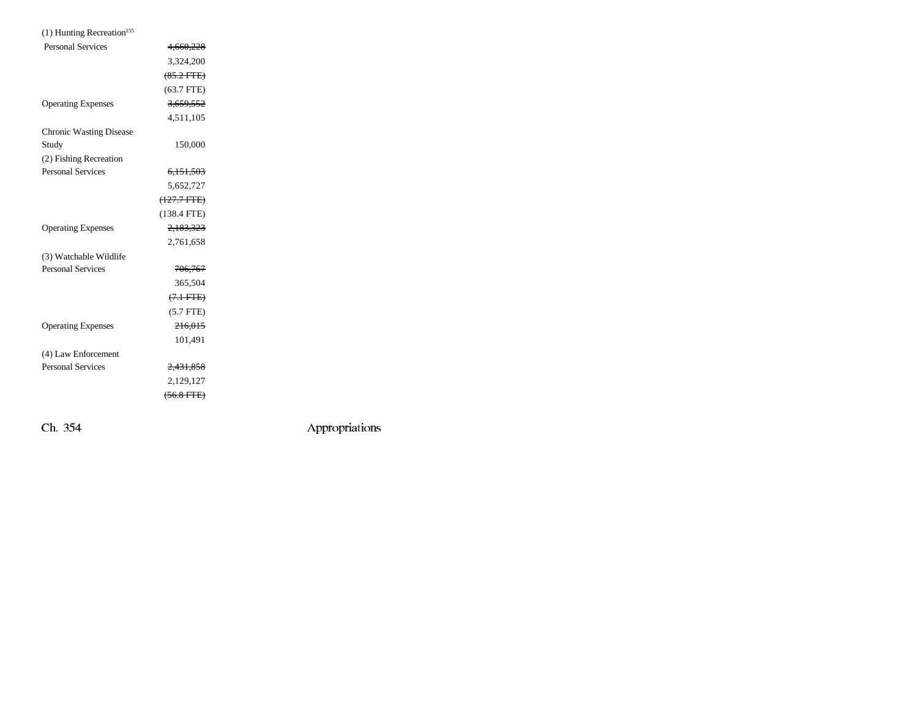| $(1)$ Hunting Recreation <sup>155</sup> |                      |  |
|-----------------------------------------|----------------------|--|
| <b>Personal Services</b>                | 4,660,228            |  |
|                                         | 3,324,200            |  |
|                                         | $(85.2$ FTE)         |  |
|                                         | $(63.7$ FTE)         |  |
| <b>Operating Expenses</b>               | 3,659,552            |  |
|                                         | 4,511,105            |  |
| <b>Chronic Wasting Disease</b>          |                      |  |
| Study                                   | 150,000              |  |
| (2) Fishing Recreation                  |                      |  |
| <b>Personal Services</b>                | 6.151.503            |  |
|                                         | 5,652,727            |  |
|                                         | (127.7 FTE)          |  |
|                                         | $(138.4$ FTE)        |  |
| <b>Operating Expenses</b>               | 2,183,323            |  |
|                                         | 2,761,658            |  |
| (3) Watchable Wildlife                  |                      |  |
| <b>Personal Services</b>                | 706,767              |  |
|                                         | 365,504              |  |
|                                         | $(7.1 \text{ FTE})$  |  |
|                                         | $(5.7$ FTE)          |  |
| <b>Operating Expenses</b>               | 216,015              |  |
|                                         | 101,491              |  |
| (4) Law Enforcement                     |                      |  |
| <b>Personal Services</b>                | <del>2,431,858</del> |  |
|                                         | 2,129,127            |  |
|                                         | $(56.8$ FTE $)$      |  |
|                                         |                      |  |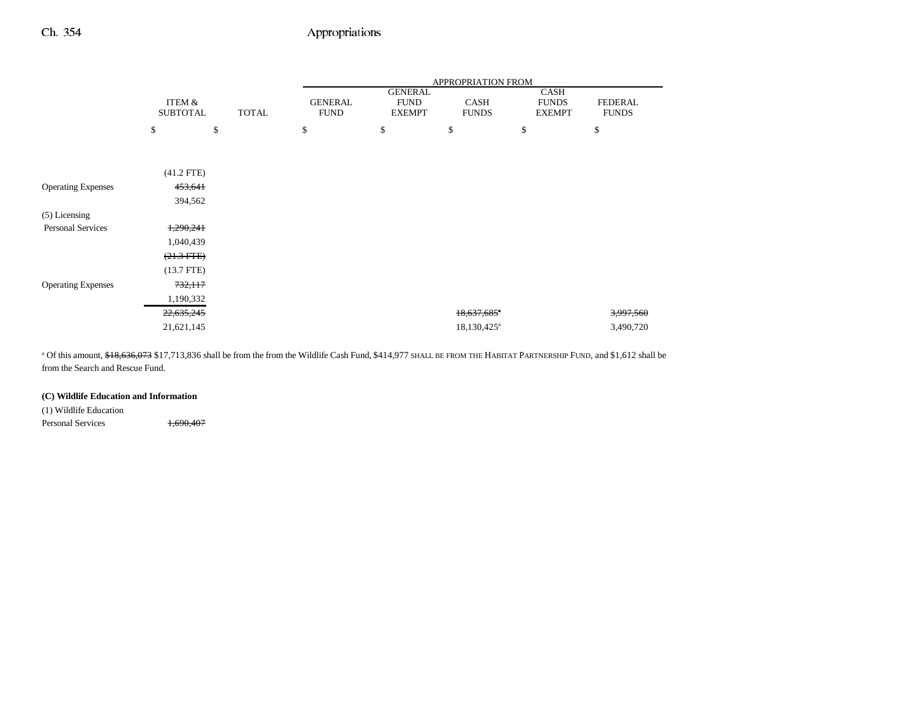|                           |                           |              | APPROPRIATION FROM            |                                                |                             |                                       |                                |
|---------------------------|---------------------------|--------------|-------------------------------|------------------------------------------------|-----------------------------|---------------------------------------|--------------------------------|
|                           | ITEM &<br><b>SUBTOTAL</b> | <b>TOTAL</b> | <b>GENERAL</b><br><b>FUND</b> | <b>GENERAL</b><br><b>FUND</b><br><b>EXEMPT</b> | <b>CASH</b><br><b>FUNDS</b> | CASH<br><b>FUNDS</b><br><b>EXEMPT</b> | <b>FEDERAL</b><br><b>FUNDS</b> |
|                           | \$                        | \$           | \$                            | \$                                             | \$                          | \$                                    | \$                             |
|                           |                           |              |                               |                                                |                             |                                       |                                |
|                           | $(41.2$ FTE)              |              |                               |                                                |                             |                                       |                                |
| <b>Operating Expenses</b> | 453,641                   |              |                               |                                                |                             |                                       |                                |
|                           | 394,562                   |              |                               |                                                |                             |                                       |                                |
| $(5)$ Licensing           |                           |              |                               |                                                |                             |                                       |                                |
| <b>Personal Services</b>  | 1,290,241                 |              |                               |                                                |                             |                                       |                                |
|                           | 1,040,439                 |              |                               |                                                |                             |                                       |                                |
|                           | $(21.3$ FTE)              |              |                               |                                                |                             |                                       |                                |
|                           | $(13.7$ FTE)              |              |                               |                                                |                             |                                       |                                |
| <b>Operating Expenses</b> | 732,117                   |              |                               |                                                |                             |                                       |                                |
|                           | 1,190,332                 |              |                               |                                                |                             |                                       |                                |
|                           | 22,635,245                |              |                               |                                                | $18,637,685$ <sup>a</sup>   |                                       | <del>3,997,560</del>           |
|                           | 21,621,145                |              |                               |                                                | 18,130,425 <sup>a</sup>     |                                       | 3,490,720                      |

<sup>a</sup> Of this amount, \$18,636,073 \$17,713,836 shall be from the from the Wildlife Cash Fund, \$414,977 SHALL BE FROM THE HABITAT PARTNERSHIP FUND, and \$1,612 shall be from the Search and Rescue Fund.

### **(C) Wildlife Education and Information**

(1) Wildlife Education Personal Services 1,690,407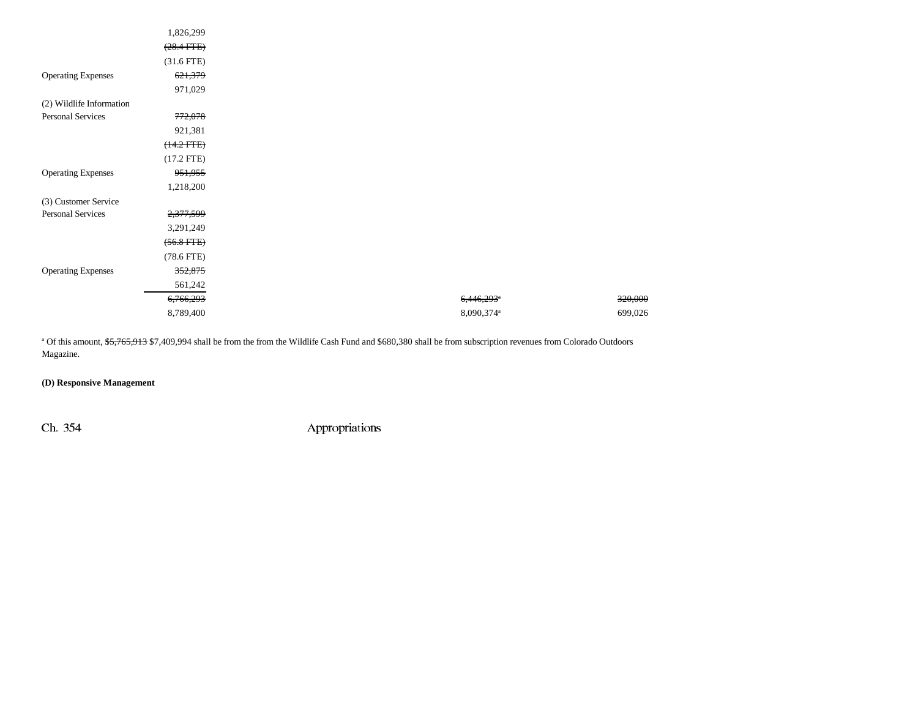|                           | 1,826,299       |
|---------------------------|-----------------|
|                           | $(28.4$ FTE $)$ |
|                           | $(31.6$ FTE)    |
| <b>Operating Expenses</b> | 621,379         |
|                           | 971,029         |
| (2) Wildlife Information  |                 |
| <b>Personal Services</b>  | 772,078         |
|                           | 921,381         |
|                           | $(14.2 FTE)$    |
|                           | $(17.2$ FTE)    |
| <b>Operating Expenses</b> | 951,955         |
|                           | 1,218,200       |
| (3) Customer Service      |                 |
| <b>Personal Services</b>  | 2,377,599       |
|                           | 3,291,249       |
|                           | $(56.8$ FTE $)$ |
|                           | $(78.6$ FTE $)$ |
| <b>Operating Expenses</b> | 352,875         |
|                           | 561,242         |
|                           | 6,766,293       |
|                           | 8,789,400       |

<sup>a</sup> Of this amount, \$5,765,913 \$7,409,994 shall be from the from the Wildlife Cash Fund and \$680,380 shall be from subscription revenues from Colorado Outdoors Magazine.

### **(D) Responsive Management**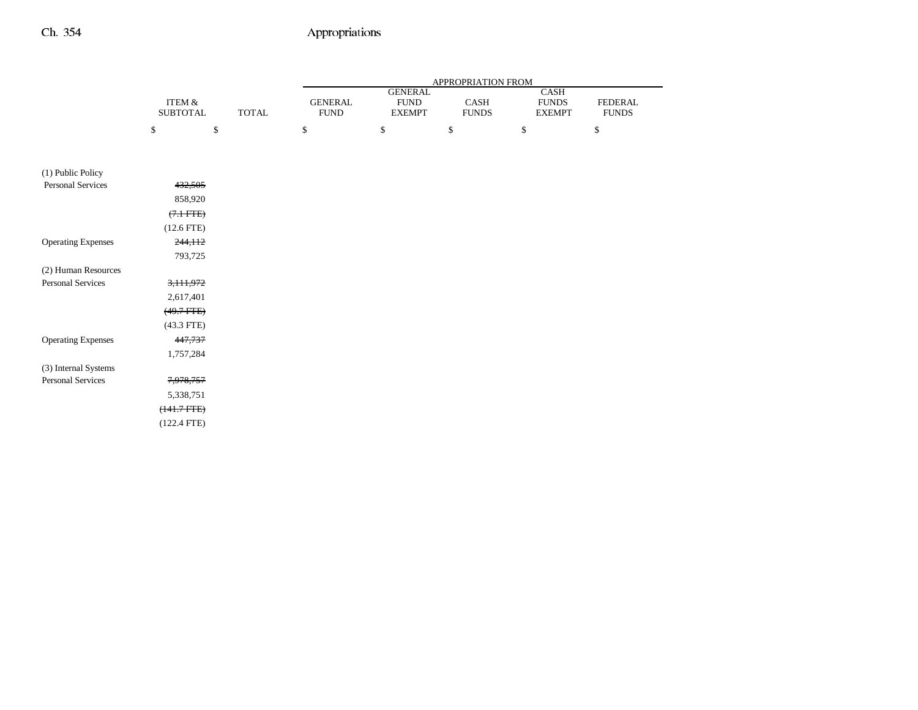|                           |                           |              | APPROPRIATION FROM            |                                                |                      |                                              |                         |
|---------------------------|---------------------------|--------------|-------------------------------|------------------------------------------------|----------------------|----------------------------------------------|-------------------------|
|                           | ITEM &<br><b>SUBTOTAL</b> | <b>TOTAL</b> | <b>GENERAL</b><br><b>FUND</b> | <b>GENERAL</b><br><b>FUND</b><br><b>EXEMPT</b> | CASH<br><b>FUNDS</b> | <b>CASH</b><br><b>FUNDS</b><br><b>EXEMPT</b> | FEDERAL<br><b>FUNDS</b> |
|                           | \$                        | \$           | \$                            | $\mathbb{S}$                                   | $\mathbb{S}$         | $\$$                                         | \$                      |
|                           |                           |              |                               |                                                |                      |                                              |                         |
| (1) Public Policy         |                           |              |                               |                                                |                      |                                              |                         |
| Personal Services         | 432,505                   |              |                               |                                                |                      |                                              |                         |
|                           | 858,920                   |              |                               |                                                |                      |                                              |                         |
|                           | $(7.1 \text{ FFE})$       |              |                               |                                                |                      |                                              |                         |
|                           | $(12.6$ FTE)              |              |                               |                                                |                      |                                              |                         |
| <b>Operating Expenses</b> | 244,112                   |              |                               |                                                |                      |                                              |                         |
|                           | 793,725                   |              |                               |                                                |                      |                                              |                         |
| (2) Human Resources       |                           |              |                               |                                                |                      |                                              |                         |
| <b>Personal Services</b>  | 3,111,972                 |              |                               |                                                |                      |                                              |                         |
|                           | 2,617,401                 |              |                               |                                                |                      |                                              |                         |
|                           | $(49.7 + TE)$             |              |                               |                                                |                      |                                              |                         |
|                           | $(43.3$ FTE)              |              |                               |                                                |                      |                                              |                         |
| <b>Operating Expenses</b> | 447,737                   |              |                               |                                                |                      |                                              |                         |
|                           | 1,757,284                 |              |                               |                                                |                      |                                              |                         |
| (3) Internal Systems      |                           |              |                               |                                                |                      |                                              |                         |
| Personal Services         | 7,978,757                 |              |                               |                                                |                      |                                              |                         |
|                           | 5,338,751                 |              |                               |                                                |                      |                                              |                         |
|                           | $(141.7 FTE)$             |              |                               |                                                |                      |                                              |                         |
|                           | $(122.4$ FTE)             |              |                               |                                                |                      |                                              |                         |
|                           |                           |              |                               |                                                |                      |                                              |                         |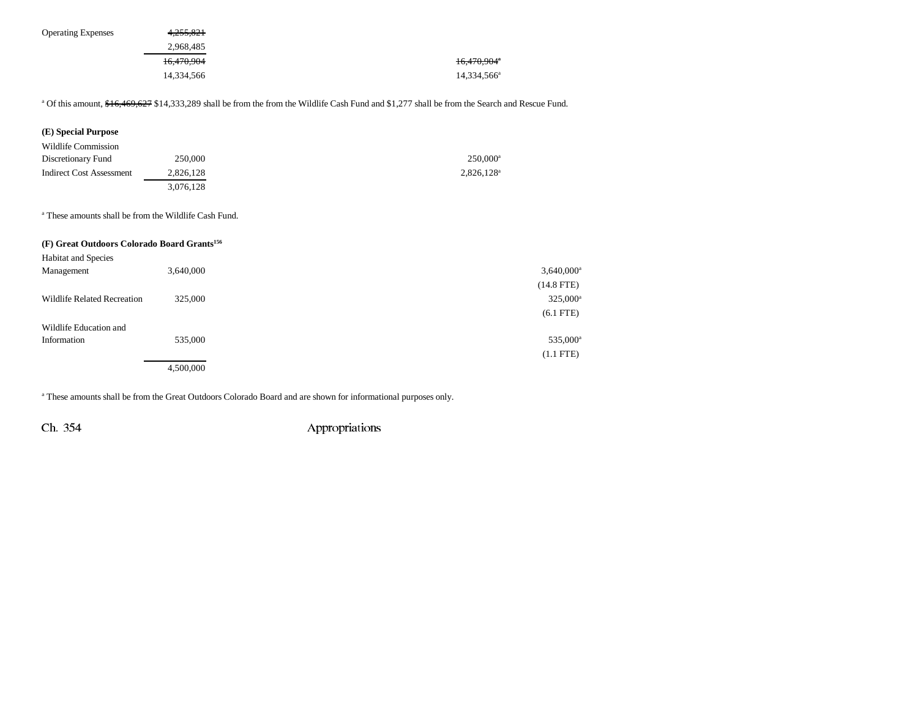| <b>Operating Expenses</b> | 4.255.821  |                         |
|---------------------------|------------|-------------------------|
|                           | 2.968.485  |                         |
|                           | 16.470.904 | 16,470,904 <sup>a</sup> |
|                           | 14.334.566 | 14,334,566 <sup>a</sup> |

<sup>a</sup> Of this amount, \$16,469,627 \$14,333,289 shall be from the from the Wildlife Cash Fund and \$1,277 shall be from the Search and Rescue Fund.

| (E) Special Purpose      |           |                        |
|--------------------------|-----------|------------------------|
| Wildlife Commission      |           |                        |
| Discretionary Fund       | 250,000   | $250.000$ <sup>a</sup> |
| Indirect Cost Assessment | 2,826,128 | $2,826,128^a$          |
|                          | 3,076,128 |                        |

a These amounts shall be from the Wildlife Cash Fund.

### **(F) Great Outdoors Colorado Board Grants156**

| <b>Habitat and Species</b>         |           |                          |
|------------------------------------|-----------|--------------------------|
| Management                         | 3,640,000 | $3,640,000$ <sup>a</sup> |
|                                    |           | $(14.8$ FTE)             |
| <b>Wildlife Related Recreation</b> | 325,000   | $325,000^{\rm a}$        |
|                                    |           | $(6.1$ FTE)              |
| Wildlife Education and             |           |                          |
| Information                        | 535,000   | 535,000 <sup>a</sup>     |
|                                    |           | $(1.1$ FTE)              |
|                                    | 4,500,000 |                          |

a These amounts shall be from the Great Outdoors Colorado Board and are shown for informational purposes only.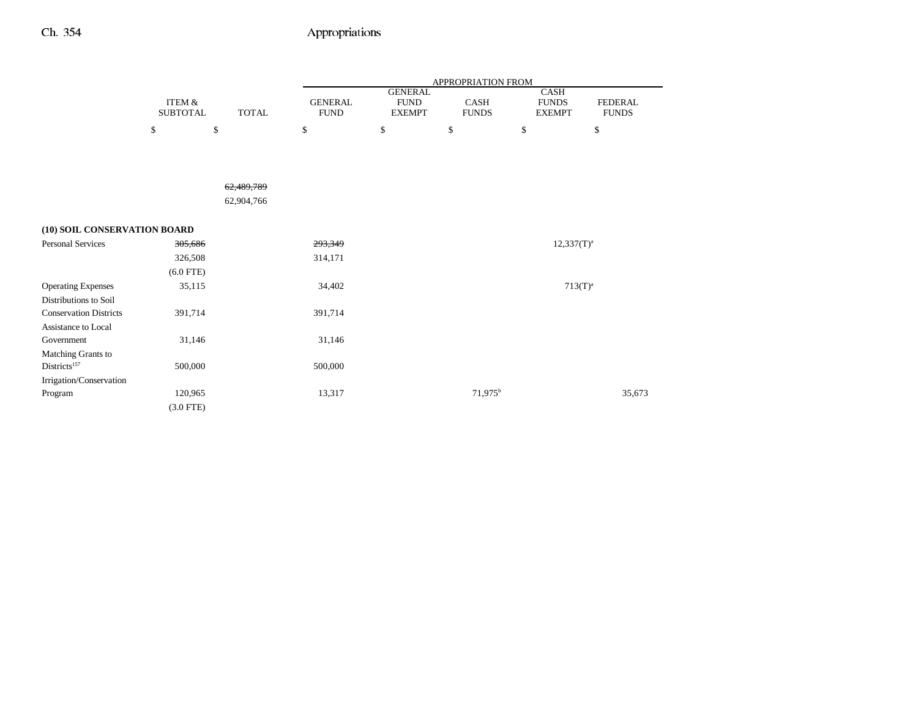|                               |                                      |              | APPROPRIATION FROM            |                                                |                      |                                       |                                |  |
|-------------------------------|--------------------------------------|--------------|-------------------------------|------------------------------------------------|----------------------|---------------------------------------|--------------------------------|--|
|                               | <b>ITEM &amp;</b><br><b>SUBTOTAL</b> | <b>TOTAL</b> | <b>GENERAL</b><br><b>FUND</b> | <b>GENERAL</b><br><b>FUND</b><br><b>EXEMPT</b> | CASH<br><b>FUNDS</b> | CASH<br><b>FUNDS</b><br><b>EXEMPT</b> | <b>FEDERAL</b><br><b>FUNDS</b> |  |
|                               | \$                                   | \$           | \$                            | \$                                             | \$                   | \$                                    | \$                             |  |
|                               |                                      |              |                               |                                                |                      |                                       |                                |  |
|                               |                                      |              |                               |                                                |                      |                                       |                                |  |
|                               |                                      | 62,489,789   |                               |                                                |                      |                                       |                                |  |
|                               |                                      | 62,904,766   |                               |                                                |                      |                                       |                                |  |
| (10) SOIL CONSERVATION BOARD  |                                      |              |                               |                                                |                      |                                       |                                |  |
| <b>Personal Services</b>      | 305,686                              |              | 293,349                       |                                                |                      | $12,337(T)^{a}$                       |                                |  |
|                               | 326,508                              |              | 314,171                       |                                                |                      |                                       |                                |  |
|                               | $(6.0$ FTE)                          |              |                               |                                                |                      |                                       |                                |  |
| <b>Operating Expenses</b>     | 35,115                               |              | 34,402                        |                                                |                      | $713(T)^{a}$                          |                                |  |
| Distributions to Soil         |                                      |              |                               |                                                |                      |                                       |                                |  |
| <b>Conservation Districts</b> | 391,714                              |              | 391,714                       |                                                |                      |                                       |                                |  |
| Assistance to Local           |                                      |              |                               |                                                |                      |                                       |                                |  |
| Government                    | 31,146                               |              | 31,146                        |                                                |                      |                                       |                                |  |
| Matching Grants to            |                                      |              |                               |                                                |                      |                                       |                                |  |
| Districts <sup>157</sup>      | 500,000                              |              | 500,000                       |                                                |                      |                                       |                                |  |
| Irrigation/Conservation       |                                      |              |                               |                                                |                      |                                       |                                |  |
| Program                       | 120,965                              |              | 13,317                        |                                                | 71,975 <sup>b</sup>  |                                       | 35,673                         |  |
|                               | $(3.0$ FTE)                          |              |                               |                                                |                      |                                       |                                |  |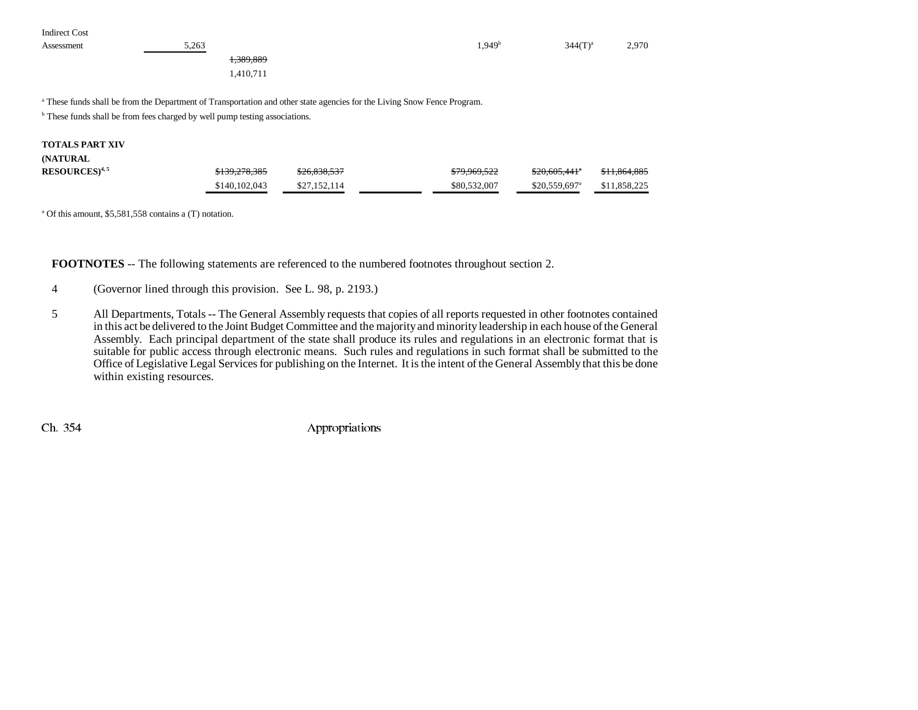Indirect Cost

| Assessment | 5,263 |            | 1.949 <sup>†</sup> | $344(T)^3$<br>◡᠇ | 2,970 |
|------------|-------|------------|--------------------|------------------|-------|
|            |       | $-389.889$ |                    |                  |       |

1,410,711

a These funds shall be from the Department of Transportation and other state agencies for the Living Snow Fence Program.

 $<sup>b</sup>$  These funds shall be from fees charged by well pump testing associations.</sup>

#### **TOTALS PART XIV**

#### **(NATURAL**

| RESOURCES) <sup>4, 5</sup> | \$139,278,385 | \$26,838,537 | \$79,969,522 | $$20.605.441$ <sup>*</sup> | \$11.864.885 |
|----------------------------|---------------|--------------|--------------|----------------------------|--------------|
|                            | \$140,102,043 | \$27,152,114 | \$80,532,007 | \$20,559,697 <sup>a</sup>  | \$11.858.225 |

a Of this amount, \$5,581,558 contains a (T) notation.

**FOOTNOTES** -- The following statements are referenced to the numbered footnotes throughout section 2.

- 4 (Governor lined through this provision. See L. 98, p. 2193.)
- 5 All Departments, Totals -- The General Assembly requests that copies of all reports requested in other footnotes contained in this act be delivered to the Joint Budget Committee and the majority and minority leadership in each house of the General Assembly. Each principal department of the state shall produce its rules and regulations in an electronic format that is suitable for public access through electronic means. Such rules and regulations in such format shall be submitted to the Office of Legislative Legal Services for publishing on the Internet. It is the intent of the General Assembly that this be done within existing resources.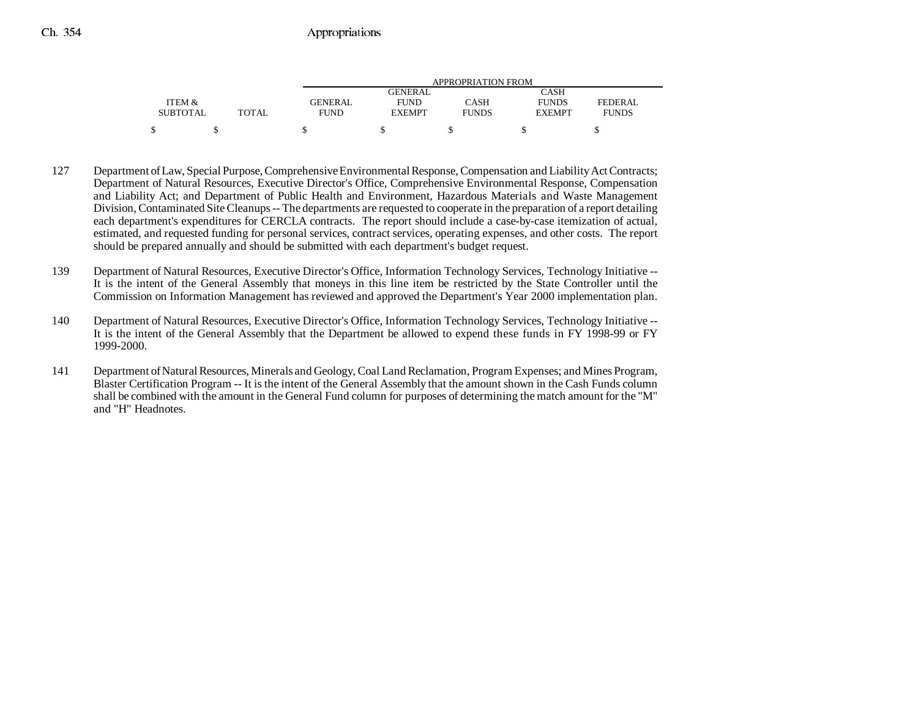|                 |              | APPROPRIATION FROM |                |              |               |              |  |
|-----------------|--------------|--------------------|----------------|--------------|---------------|--------------|--|
|                 |              |                    | <b>GENERAL</b> |              | CASH          |              |  |
| ITEM &          |              | <b>GENERAL</b>     | <b>FUND</b>    | CASH         | <b>FUNDS</b>  | FEDERAL      |  |
| <b>SUBTOTAL</b> | <b>TOTAL</b> | <b>FUND</b>        | <b>EXEMPT</b>  | <b>FUNDS</b> | <b>EXEMPT</b> | <b>FUNDS</b> |  |
| ¢               |              |                    |                |              |               |              |  |

- 127 Department of Law, Special Purpose, Comprehensive Environmental Response, Compensation and Liability Act Contracts; Department of Natural Resources, Executive Director's Office, Comprehensive Environmental Response, Compensation and Liability Act; and Department of Public Health and Environment, Hazardous Materials and Waste Management Division, Contaminated Site Cleanups -- The departments are requested to cooperate in the preparation of a report detailing each department's expenditures for CERCLA contracts. The report should include a case-by-case itemization of actual, estimated, and requested funding for personal services, contract services, operating expenses, and other costs. The report should be prepared annually and should be submitted with each department's budget request.
- 139 Department of Natural Resources, Executive Director's Office, Information Technology Services, Technology Initiative -- It is the intent of the General Assembly that moneys in this line item be restricted by the State Controller until the Commission on Information Management has reviewed and approved the Department's Year 2000 implementation plan.
- 140 Department of Natural Resources, Executive Director's Office, Information Technology Services, Technology Initiative -- It is the intent of the General Assembly that the Department be allowed to expend these funds in FY 1998-99 or FY 1999-2000.
- 141 Department of Natural Resources, Minerals and Geology, Coal Land Reclamation, Program Expenses; and Mines Program, Blaster Certification Program -- It is the intent of the General Assembly that the amount shown in the Cash Funds column shall be combined with the amount in the General Fund column for purposes of determining the match amount for the "M" and "H" Headnotes.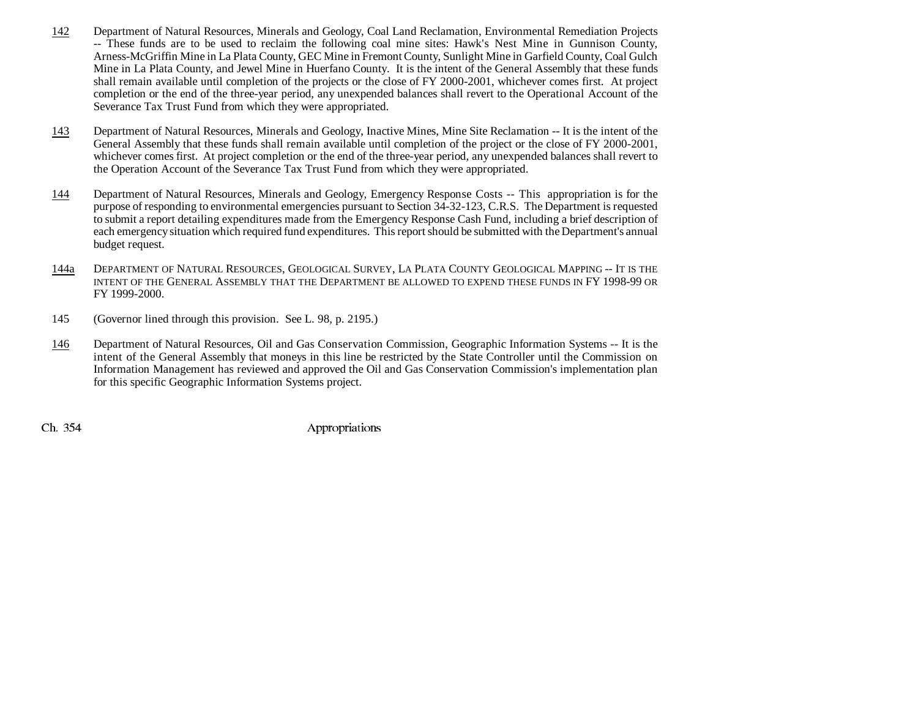- 142 Department of Natural Resources, Minerals and Geology, Coal Land Reclamation, Environmental Remediation Projects -- These funds are to be used to reclaim the following coal mine sites: Hawk's Nest Mine in Gunnison County, Arness-McGriffin Mine in La Plata County, GEC Mine in Fremont County, Sunlight Mine in Garfield County, Coal Gulch Mine in La Plata County, and Jewel Mine in Huerfano County. It is the intent of the General Assembly that these funds shall remain available until completion of the projects or the close of FY 2000-2001, whichever comes first. At project completion or the end of the three-year period, any unexpended balances shall revert to the Operational Account of the Severance Tax Trust Fund from which they were appropriated.
- 143 Department of Natural Resources, Minerals and Geology, Inactive Mines, Mine Site Reclamation -- It is the intent of the General Assembly that these funds shall remain available until completion of the project or the close of FY 2000-2001, whichever comes first. At project completion or the end of the three-year period, any unexpended balances shall revert to the Operation Account of the Severance Tax Trust Fund from which they were appropriated.
- 144 Department of Natural Resources, Minerals and Geology, Emergency Response Costs -- This appropriation is for the purpose of responding to environmental emergencies pursuant to Section 34-32-123, C.R.S. The Department is requested to submit a report detailing expenditures made from the Emergency Response Cash Fund, including a brief description of each emergency situation which required fund expenditures. This report should be submitted with the Department's annual budget request.
- 144a DEPARTMENT OF NATURAL RESOURCES, GEOLOGICAL SURVEY, LA PLATA COUNTY GEOLOGICAL MAPPING -- IT IS THE INTENT OF THE GENERAL ASSEMBLY THAT THE DEPARTMENT BE ALLOWED TO EXPEND THESE FUNDS IN FY 1998-99 OR FY 1999-2000.
- 145 (Governor lined through this provision. See L. 98, p. 2195.)
- 146 Department of Natural Resources, Oil and Gas Conservation Commission, Geographic Information Systems -- It is the intent of the General Assembly that moneys in this line be restricted by the State Controller until the Commission on Information Management has reviewed and approved the Oil and Gas Conservation Commission's implementation plan for this specific Geographic Information Systems project.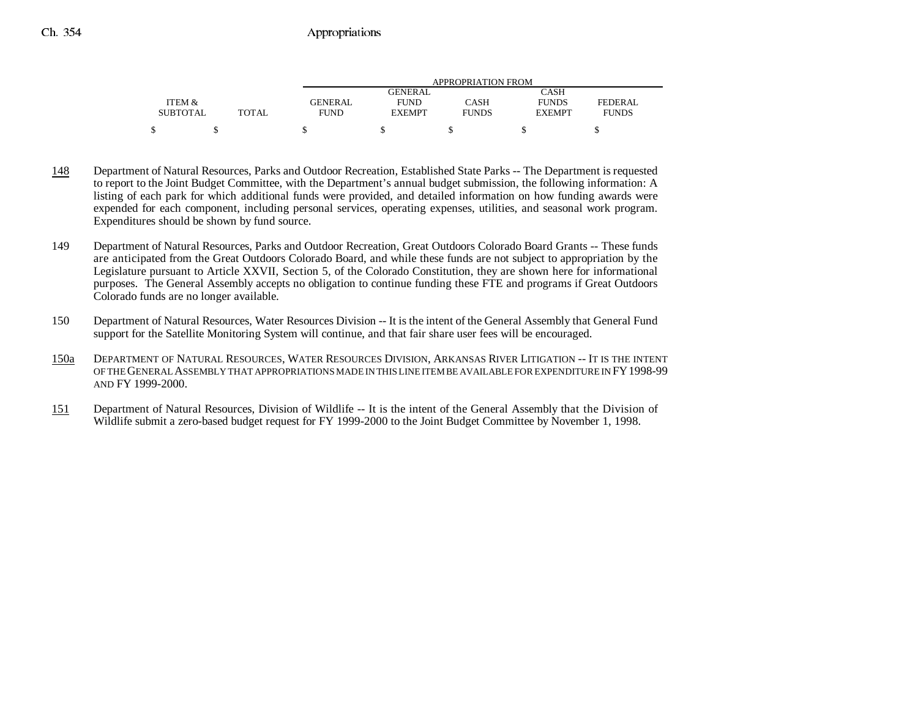|                 |              | APPROPRIATION FROM |                |              |               |              |  |
|-----------------|--------------|--------------------|----------------|--------------|---------------|--------------|--|
|                 |              |                    | <b>GENERAL</b> |              | CASH          |              |  |
| ITEM &          |              | <b>GENERAL</b>     | <b>FUND</b>    | CASH         | <b>FUNDS</b>  | FEDERAL      |  |
| <b>SUBTOTAL</b> | <b>TOTAL</b> | <b>FUND</b>        | <b>EXEMPT</b>  | <b>FUNDS</b> | <b>EXEMPT</b> | <b>FUNDS</b> |  |
|                 |              |                    |                |              |               |              |  |

- 148 Department of Natural Resources, Parks and Outdoor Recreation, Established State Parks -- The Department is requested to report to the Joint Budget Committee, with the Department's annual budget submission, the following information: A listing of each park for which additional funds were provided, and detailed information on how funding awards were expended for each component, including personal services, operating expenses, utilities, and seasonal work program. Expenditures should be shown by fund source.
- 149 Department of Natural Resources, Parks and Outdoor Recreation, Great Outdoors Colorado Board Grants -- These funds are anticipated from the Great Outdoors Colorado Board, and while these funds are not subject to appropriation by the Legislature pursuant to Article XXVII, Section 5, of the Colorado Constitution, they are shown here for informational purposes. The General Assembly accepts no obligation to continue funding these FTE and programs if Great Outdoors Colorado funds are no longer available.
- 150 Department of Natural Resources, Water Resources Division -- It is the intent of the General Assembly that General Fund support for the Satellite Monitoring System will continue, and that fair share user fees will be encouraged.
- 150a DEPARTMENT OF NATURAL RESOURCES, WATER RESOURCES DIVISION, ARKANSAS RIVER LITIGATION -- IT IS THE INTENT OF THE GENERAL ASSEMBLY THAT APPROPRIATIONS MADE IN THIS LINE ITEM BE AVAILABLE FOR EXPENDITURE IN FY1998-99AND FY 1999-2000.
- 151 Department of Natural Resources, Division of Wildlife -- It is the intent of the General Assembly that the Division of Wildlife submit a zero-based budget request for FY 1999-2000 to the Joint Budget Committee by November 1, 1998.